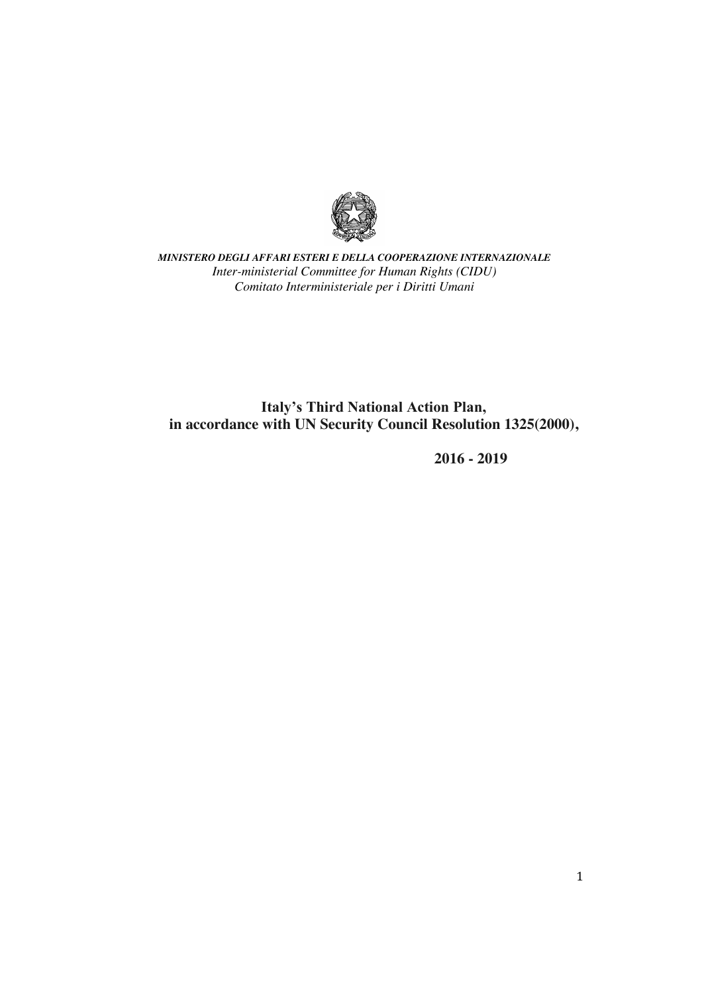

*MINISTERO DEGLI AFFARI ESTERI E DELLA COOPERAZIONE INTERNAZIONALE Inter-ministerial Committee for Human Rights (CIDU) Comitato Interministeriale per i Diritti Umani*

**Italy's Third National Action Plan, in accordance with UN Security Council Resolution 1325(2000),**

 **2016 - 2019**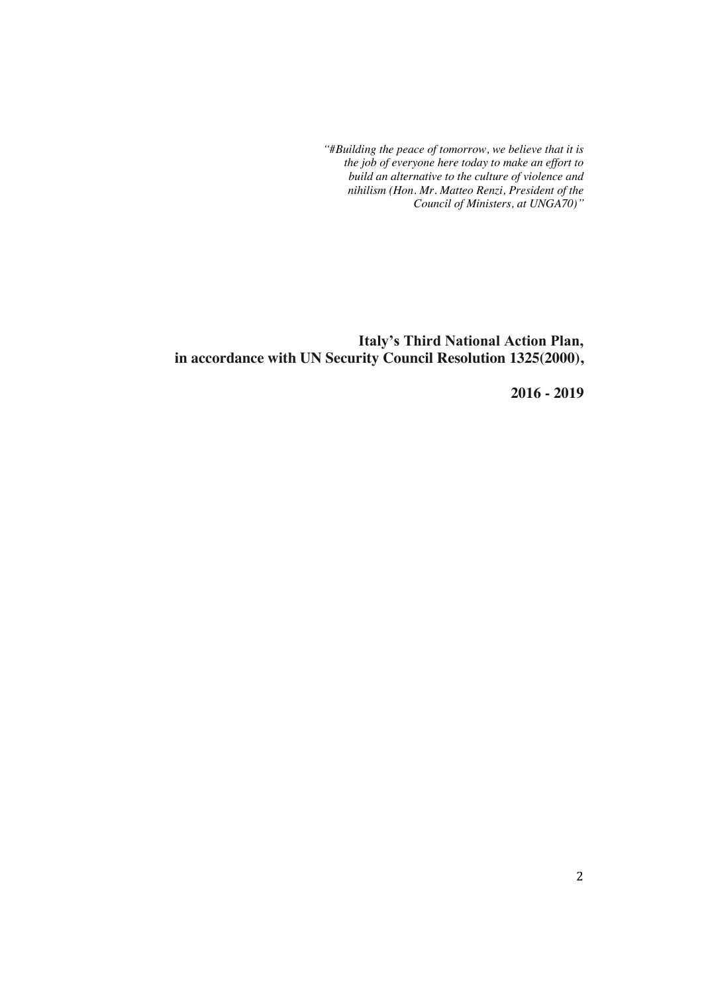*"#Building the peace of tomorrow, we believe that it is the job of everyone here today to make an effort to build an alternative to the culture of violence and nihilism (Hon. Mr. Matteo Renzi, President of the Council of Ministers, at UNGA70)"*

**Italy's Third National Action Plan, in accordance with UN Security Council Resolution 1325(2000),**

 **2016 - 2019**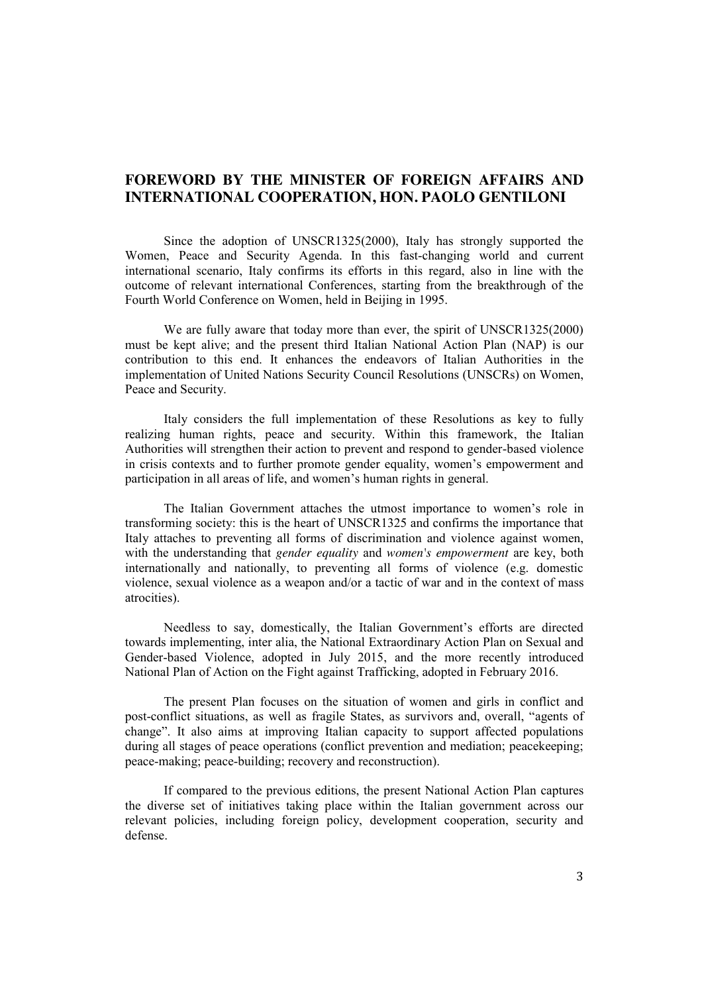# **FOREWORD BY THE MINISTER OF FOREIGN AFFAIRS AND INTERNATIONAL COOPERATION, HON. PAOLO GENTILONI**

Since the adoption of UNSCR1325(2000), Italy has strongly supported the Women, Peace and Security Agenda. In this fast-changing world and current international scenario, Italy confirms its efforts in this regard, also in line with the outcome of relevant international Conferences, starting from the breakthrough of the Fourth World Conference on Women, held in Beijing in 1995.

We are fully aware that today more than ever, the spirit of UNSCR1325(2000) must be kept alive; and the present third Italian National Action Plan (NAP) is our contribution to this end. It enhances the endeavors of Italian Authorities in the implementation of United Nations Security Council Resolutions (UNSCRs) on Women, Peace and Security.

Italy considers the full implementation of these Resolutions as key to fully realizing human rights, peace and security. Within this framework, the Italian Authorities will strengthen their action to prevent and respond to gender-based violence in crisis contexts and to further promote gender equality, women's empowerment and participation in all areas of life, and women's human rights in general.

The Italian Government attaches the utmost importance to women's role in transforming society: this is the heart of UNSCR1325 and confirms the importance that Italy attaches to preventing all forms of discrimination and violence against women, with the understanding that *gender equality* and *women's empowerment* are key, both internationally and nationally, to preventing all forms of violence (e.g. domestic violence, sexual violence as a weapon and/or a tactic of war and in the context of mass atrocities).

Needless to say, domestically, the Italian Government's efforts are directed towards implementing, inter alia, the National Extraordinary Action Plan on Sexual and Gender-based Violence, adopted in July 2015, and the more recently introduced National Plan of Action on the Fight against Trafficking, adopted in February 2016.

The present Plan focuses on the situation of women and girls in conflict and post-conflict situations, as well as fragile States, as survivors and, overall, "agents of change". It also aims at improving Italian capacity to support affected populations during all stages of peace operations (conflict prevention and mediation; peacekeeping; peace-making; peace-building; recovery and reconstruction).

If compared to the previous editions, the present National Action Plan captures the diverse set of initiatives taking place within the Italian government across our relevant policies, including foreign policy, development cooperation, security and defense.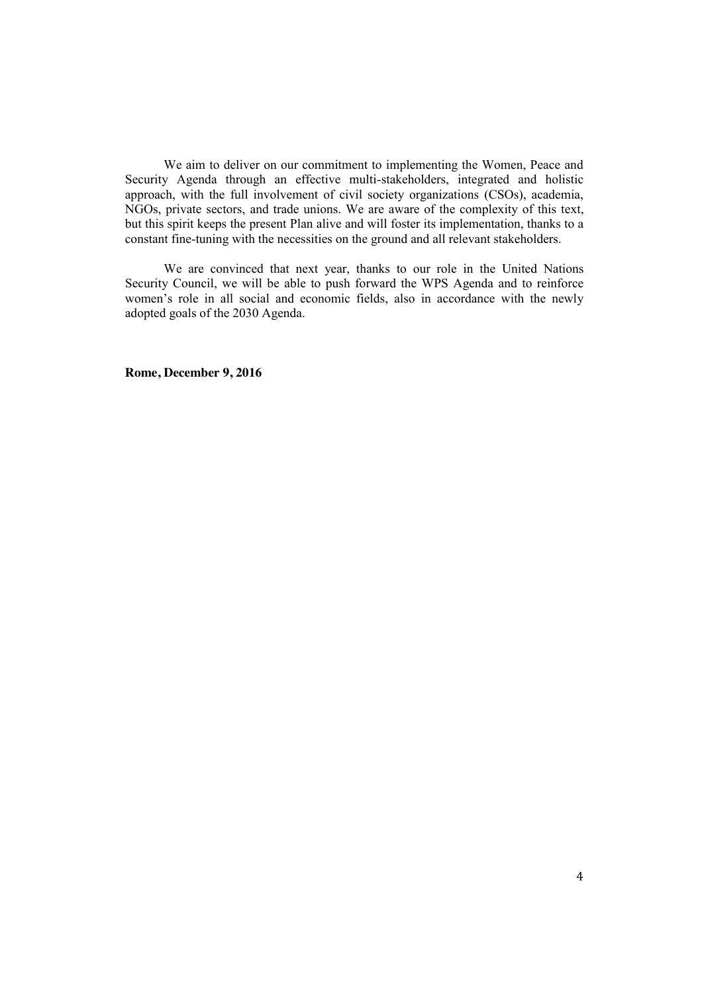We aim to deliver on our commitment to implementing the Women, Peace and Security Agenda through an effective multi-stakeholders, integrated and holistic approach, with the full involvement of civil society organizations (CSOs), academia, NGOs, private sectors, and trade unions. We are aware of the complexity of this text, but this spirit keeps the present Plan alive and will foster its implementation, thanks to a constant fine-tuning with the necessities on the ground and all relevant stakeholders.

We are convinced that next year, thanks to our role in the United Nations Security Council, we will be able to push forward the WPS Agenda and to reinforce women's role in all social and economic fields, also in accordance with the newly adopted goals of the 2030 Agenda.

**Rome, December 9, 2016**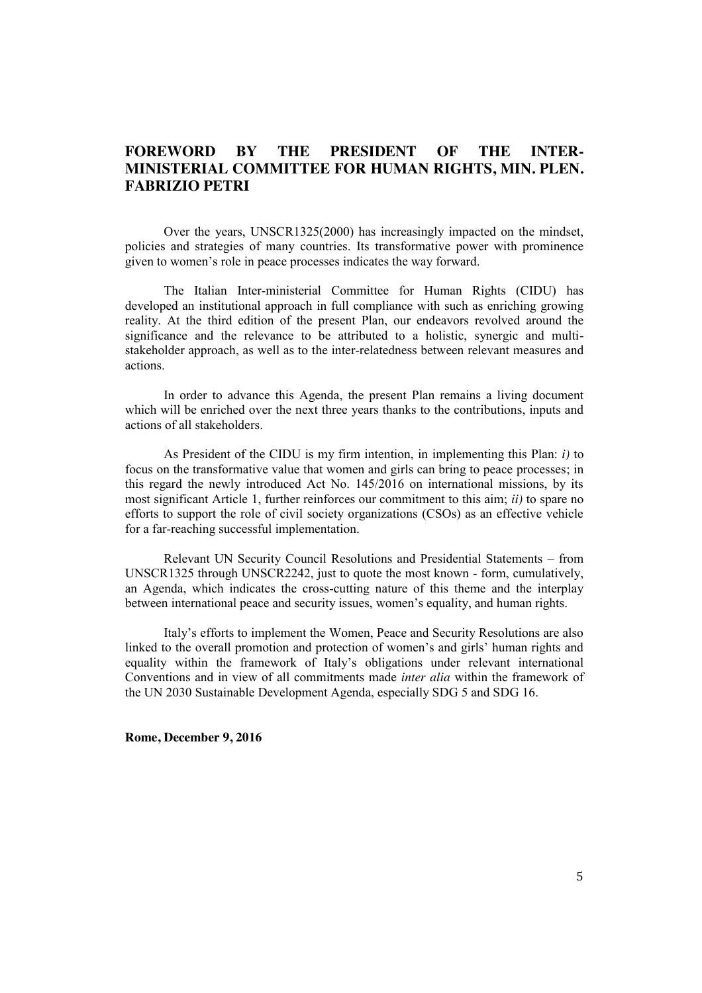# **FOREWORD BY THE PRESIDENT OF THE INTER-MINISTERIAL COMMITTEE FOR HUMAN RIGHTS, MIN. PLEN. FABRIZIO PETRI**

Over the years, UNSCR1325(2000) has increasingly impacted on the mindset, policies and strategies of many countries. Its transformative power with prominence given to women's role in peace processes indicates the way forward.

The Italian Inter-ministerial Committee for Human Rights (CIDU) has developed an institutional approach in full compliance with such as enriching growing reality. At the third edition of the present Plan, our endeavors revolved around the significance and the relevance to be attributed to a holistic, synergic and multistakeholder approach, as well as to the inter-relatedness between relevant measures and actions.

In order to advance this Agenda, the present Plan remains a living document which will be enriched over the next three years thanks to the contributions, inputs and actions of all stakeholders.

As President of the CIDU is my firm intention, in implementing this Plan: *i)* to focus on the transformative value that women and girls can bring to peace processes; in this regard the newly introduced Act No. 145/2016 on international missions, by its most significant Article 1, further reinforces our commitment to this aim; *ii)* to spare no efforts to support the role of civil society organizations (CSOs) as an effective vehicle for a far-reaching successful implementation.

Relevant UN Security Council Resolutions and Presidential Statements – from UNSCR1325 through UNSCR2242, just to quote the most known - form, cumulatively, an Agenda, which indicates the cross-cutting nature of this theme and the interplay between international peace and security issues, women's equality, and human rights.

Italy's efforts to implement the Women, Peace and Security Resolutions are also linked to the overall promotion and protection of women's and girls' human rights and equality within the framework of Italy's obligations under relevant international Conventions and in view of all commitments made *inter alia* within the framework of the UN 2030 Sustainable Development Agenda, especially SDG 5 and SDG 16.

**Rome, December 9, 2016**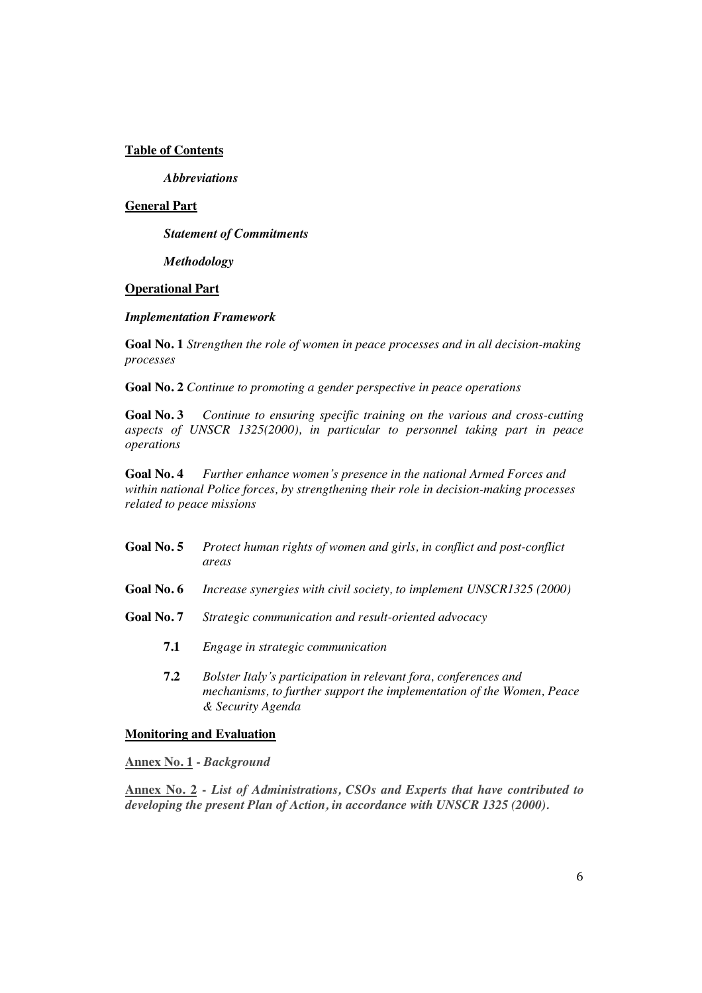### **Table of Contents**

*Abbreviations* 

## **General Part**

*Statement of Commitments*

*Methodology* 

### **Operational Part**

### *Implementation Framework*

**Goal No. 1** *Strengthen the role of women in peace processes and in all decision-making processes*

**Goal No. 2** *Continue to promoting a gender perspective in peace operations*

**Goal No. 3** *Continue to ensuring specific training on the various and cross-cutting aspects of UNSCR 1325(2000), in particular to personnel taking part in peace operations*

**Goal No. 4** *Further enhance women's presence in the national Armed Forces and within national Police forces, by strengthening their role in decision-making processes related to peace missions*

- **Goal No. 5** *Protect human rights of women and girls, in conflict and post-conflict areas*
- **Goal No. 6** *Increase synergies with civil society, to implement UNSCR1325 (2000)*
- **Goal No. 7** *Strategic communication and result-oriented advocacy*
	- **7.1** *Engage in strategic communication*
	- **7.2** *Bolster Italy's participation in relevant fora, conferences and mechanisms, to further support the implementation of the Women, Peace & Security Agenda*

### **Monitoring and Evaluation**

**Annex No. 1 -** *Background*

**Annex No. 2 -** *List of Administrations, CSOs and Experts that have contributed to developing the present Plan of Action, in accordance with UNSCR 1325 (2000).*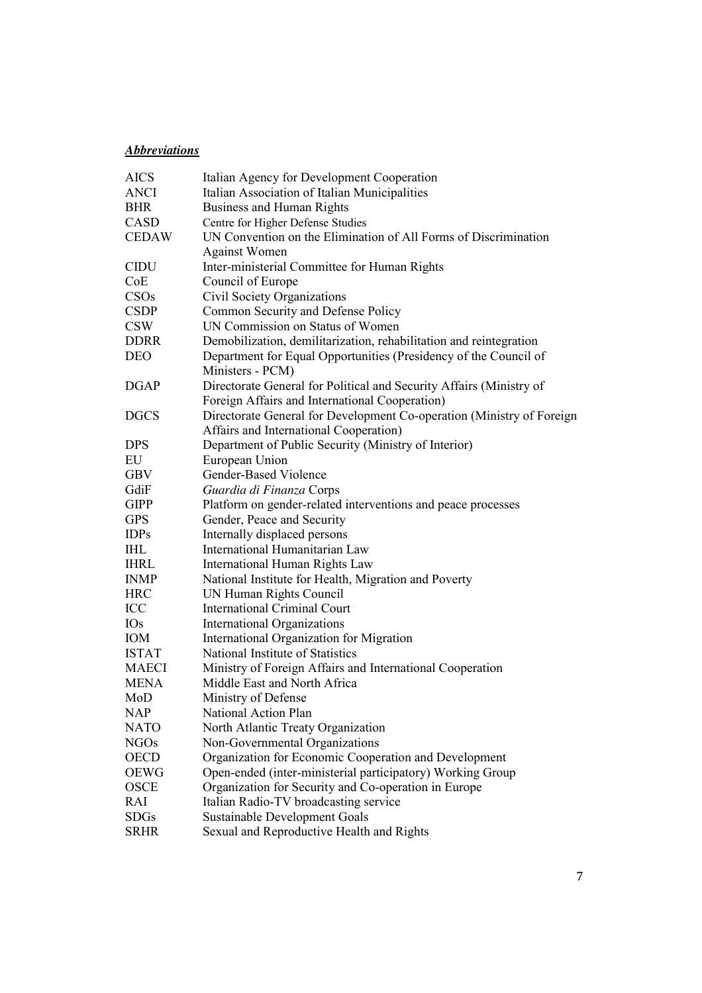# *Abbreviations*

| <b>AICS</b>  | Italian Agency for Development Cooperation                                           |
|--------------|--------------------------------------------------------------------------------------|
| ANCI         | Italian Association of Italian Municipalities                                        |
| <b>BHR</b>   | <b>Business and Human Rights</b>                                                     |
| CASD         | Centre for Higher Defense Studies                                                    |
| <b>CEDAW</b> | UN Convention on the Elimination of All Forms of Discrimination                      |
|              | <b>Against Women</b>                                                                 |
| <b>CIDU</b>  | Inter-ministerial Committee for Human Rights                                         |
| CoE          | Council of Europe                                                                    |
| CSOs         | Civil Society Organizations                                                          |
| <b>CSDP</b>  | Common Security and Defense Policy                                                   |
| <b>CSW</b>   | UN Commission on Status of Women                                                     |
| <b>DDRR</b>  | Demobilization, demilitarization, rehabilitation and reintegration                   |
| <b>DEO</b>   | Department for Equal Opportunities (Presidency of the Council of<br>Ministers - PCM) |
| <b>DGAP</b>  | Directorate General for Political and Security Affairs (Ministry of                  |
|              | Foreign Affairs and International Cooperation)                                       |
| <b>DGCS</b>  | Directorate General for Development Co-operation (Ministry of Foreign                |
|              | Affairs and International Cooperation)                                               |
| <b>DPS</b>   | Department of Public Security (Ministry of Interior)                                 |
| EU           | European Union                                                                       |
| <b>GBV</b>   | Gender-Based Violence                                                                |
| GdiF         | Guardia di Finanza Corps                                                             |
| <b>GIPP</b>  | Platform on gender-related interventions and peace processes                         |
| <b>GPS</b>   | Gender, Peace and Security                                                           |
| <b>IDPs</b>  | Internally displaced persons                                                         |
| <b>IHL</b>   | International Humanitarian Law                                                       |
| <b>IHRL</b>  | International Human Rights Law                                                       |
| <b>INMP</b>  | National Institute for Health, Migration and Poverty                                 |
| <b>HRC</b>   | UN Human Rights Council                                                              |
| <b>ICC</b>   | <b>International Criminal Court</b>                                                  |
| <b>IOs</b>   | International Organizations                                                          |
| IOM          | International Organization for Migration                                             |
| <b>ISTAT</b> | National Institute of Statistics                                                     |
| <b>MAECI</b> | Ministry of Foreign Affairs and International Cooperation                            |
| <b>MENA</b>  | Middle East and North Africa                                                         |
| MoD          | Ministry of Defense                                                                  |
| <b>NAP</b>   | National Action Plan                                                                 |
| <b>NATO</b>  | North Atlantic Treaty Organization                                                   |
| <b>NGOs</b>  | Non-Governmental Organizations                                                       |
| <b>OECD</b>  | Organization for Economic Cooperation and Development                                |
| <b>OEWG</b>  | Open-ended (inter-ministerial participatory) Working Group                           |
| <b>OSCE</b>  | Organization for Security and Co-operation in Europe                                 |
| RAI          | Italian Radio-TV broadcasting service                                                |
| <b>SDGs</b>  | <b>Sustainable Development Goals</b>                                                 |
| <b>SRHR</b>  | Sexual and Reproductive Health and Rights                                            |
|              |                                                                                      |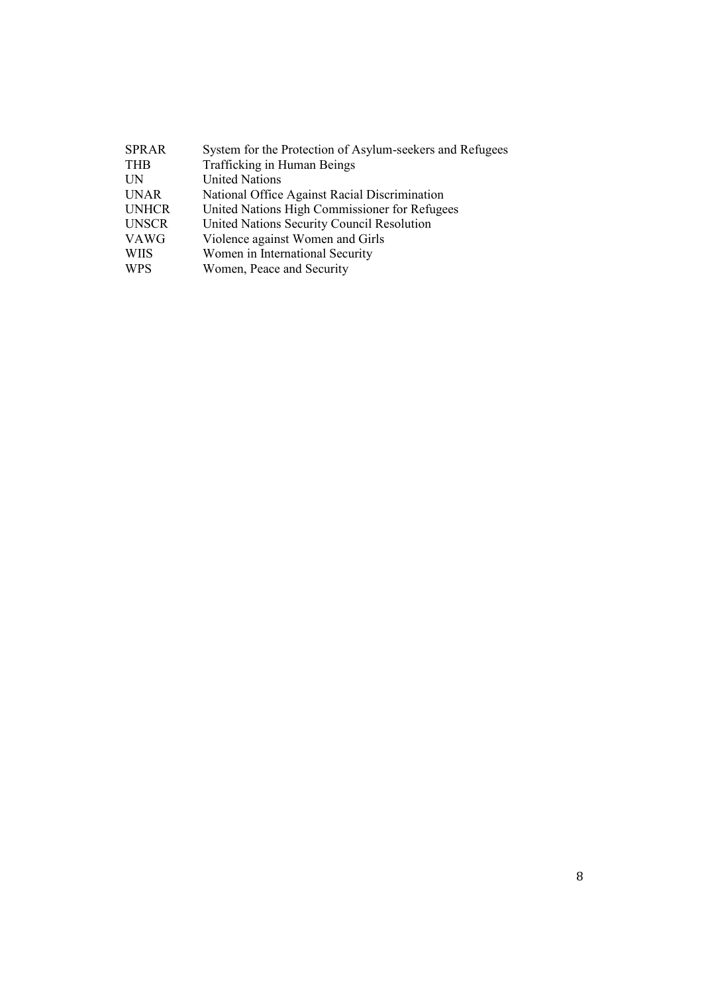| <b>SPRAR</b> | System for the Protection of Asylum-seekers and Refugees |
|--------------|----------------------------------------------------------|
| <b>THB</b>   | Trafficking in Human Beings                              |
| <b>UN</b>    | <b>United Nations</b>                                    |
| <b>UNAR</b>  | National Office Against Racial Discrimination            |
| <b>UNHCR</b> | United Nations High Commissioner for Refugees            |
| <b>UNSCR</b> | United Nations Security Council Resolution               |
| <b>VAWG</b>  | Violence against Women and Girls                         |
| <b>WIIS</b>  | Women in International Security                          |
| <b>WPS</b>   | Women, Peace and Security                                |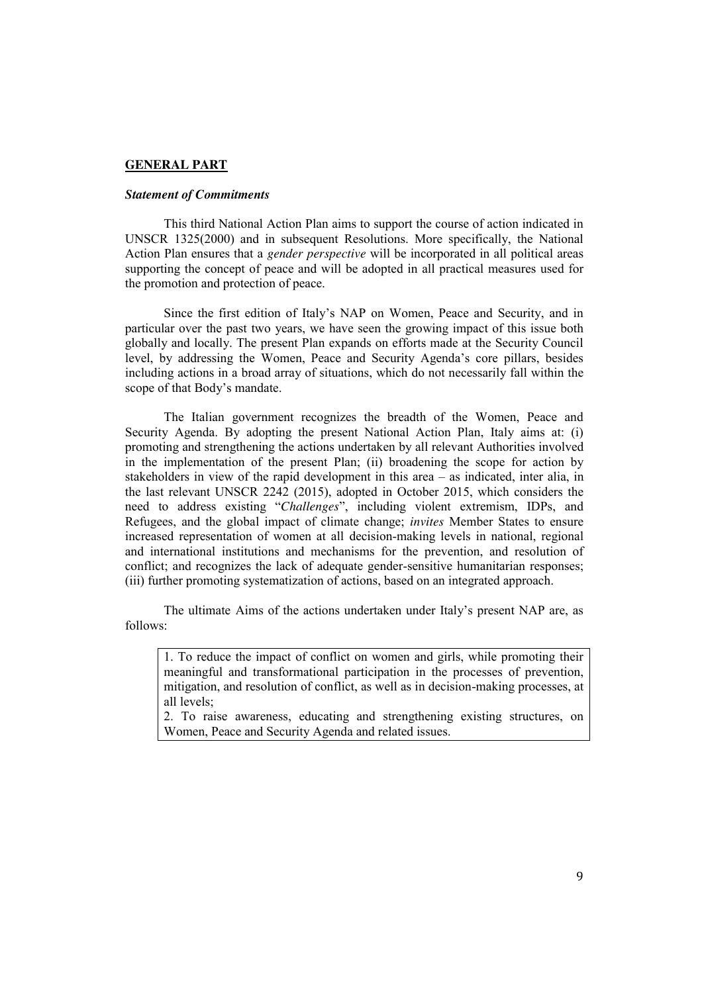### **GENERAL PART**

#### *Statement of Commitments*

This third National Action Plan aims to support the course of action indicated in UNSCR 1325(2000) and in subsequent Resolutions. More specifically, the National Action Plan ensures that a *gender perspective* will be incorporated in all political areas supporting the concept of peace and will be adopted in all practical measures used for the promotion and protection of peace.

Since the first edition of Italy's NAP on Women, Peace and Security, and in particular over the past two years, we have seen the growing impact of this issue both globally and locally. The present Plan expands on efforts made at the Security Council level, by addressing the Women, Peace and Security Agenda's core pillars, besides including actions in a broad array of situations, which do not necessarily fall within the scope of that Body's mandate.

The Italian government recognizes the breadth of the Women, Peace and Security Agenda. By adopting the present National Action Plan, Italy aims at: (i) promoting and strengthening the actions undertaken by all relevant Authorities involved in the implementation of the present Plan; (ii) broadening the scope for action by stakeholders in view of the rapid development in this area – as indicated, inter alia, in the last relevant UNSCR 2242 (2015), adopted in October 2015, which considers the need to address existing "*Challenges*", including violent extremism, IDPs, and Refugees, and the global impact of climate change; *invites* Member States to ensure increased representation of women at all decision-making levels in national, regional and international institutions and mechanisms for the prevention, and resolution of conflict; and recognizes the lack of adequate gender-sensitive humanitarian responses; (iii) further promoting systematization of actions, based on an integrated approach.

The ultimate Aims of the actions undertaken under Italy's present NAP are, as follows:

1. To reduce the impact of conflict on women and girls, while promoting their meaningful and transformational participation in the processes of prevention, mitigation, and resolution of conflict, as well as in decision-making processes, at all levels;

2. To raise awareness, educating and strengthening existing structures, on Women, Peace and Security Agenda and related issues.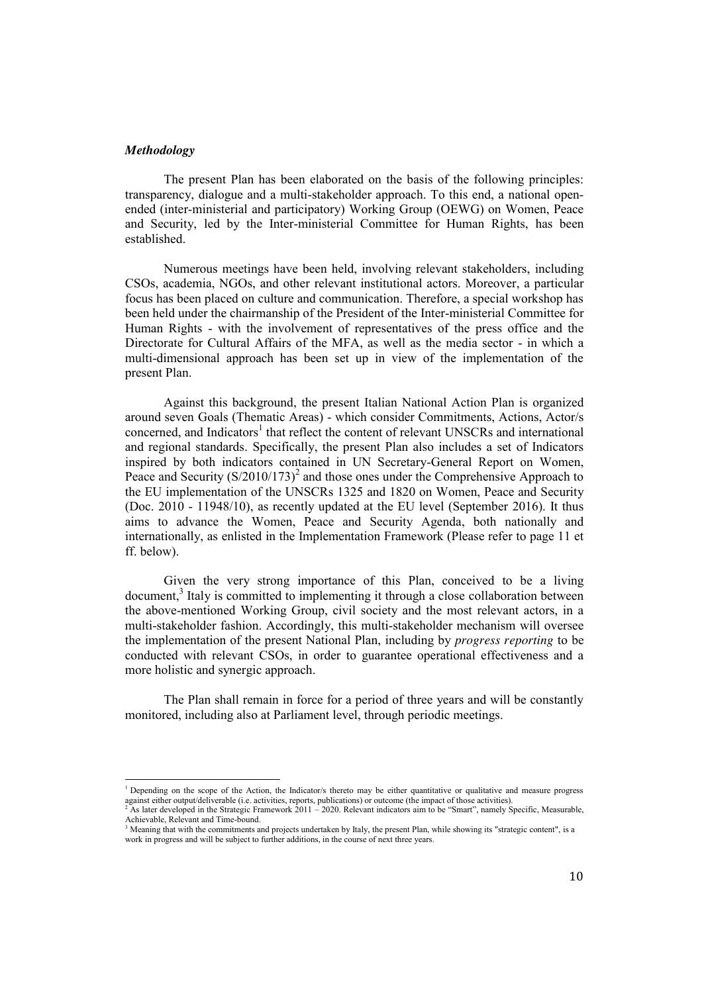#### *Methodology*

<u>.</u>

The present Plan has been elaborated on the basis of the following principles: transparency, dialogue and a multi-stakeholder approach. To this end, a national openended (inter-ministerial and participatory) Working Group (OEWG) on Women, Peace and Security, led by the Inter-ministerial Committee for Human Rights, has been established.

Numerous meetings have been held, involving relevant stakeholders, including CSOs, academia, NGOs, and other relevant institutional actors. Moreover, a particular focus has been placed on culture and communication. Therefore, a special workshop has been held under the chairmanship of the President of the Inter-ministerial Committee for Human Rights - with the involvement of representatives of the press office and the Directorate for Cultural Affairs of the MFA, as well as the media sector - in which a multi-dimensional approach has been set up in view of the implementation of the present Plan.

Against this background, the present Italian National Action Plan is organized around seven Goals (Thematic Areas) - which consider Commitments, Actions, Actor/s concerned, and Indicators<sup>1</sup> that reflect the content of relevant UNSCRs and international and regional standards. Specifically, the present Plan also includes a set of Indicators inspired by both indicators contained in UN Secretary-General Report on Women, Peace and Security  $(S/2010/173)^2$  and those ones under the Comprehensive Approach to the EU implementation of the UNSCRs 1325 and 1820 on Women, Peace and Security (Doc. 2010 - 11948/10), as recently updated at the EU level (September 2016). It thus aims to advance the Women, Peace and Security Agenda, both nationally and internationally, as enlisted in the Implementation Framework (Please refer to page 11 et ff. below).

Given the very strong importance of this Plan, conceived to be a living document, <sup>3</sup> Italy is committed to implementing it through a close collaboration between the above-mentioned Working Group, civil society and the most relevant actors, in a multi-stakeholder fashion. Accordingly, this multi-stakeholder mechanism will oversee the implementation of the present National Plan, including by *progress reporting* to be conducted with relevant CSOs, in order to guarantee operational effectiveness and a more holistic and synergic approach.

The Plan shall remain in force for a period of three years and will be constantly monitored, including also at Parliament level, through periodic meetings.

<sup>&</sup>lt;sup>1</sup> Depending on the scope of the Action, the Indicator/s thereto may be either quantitative or qualitative and measure progress against either output/deliverable (i.e. activities, reports, publications) or outcome (the impact of those activities).<br><sup>2</sup> As later developed in the Strategic Framework 2011 – 2020. Relevant indicators aim to be "Smart",

Achievable, Relevant and Time-bound.<br><sup>3</sup> Meaning that with the commitments and projects undertaken by Italy, the present Plan, while showing its "strategic content", is a

work in progress and will be subject to further additions, in the course of next three years.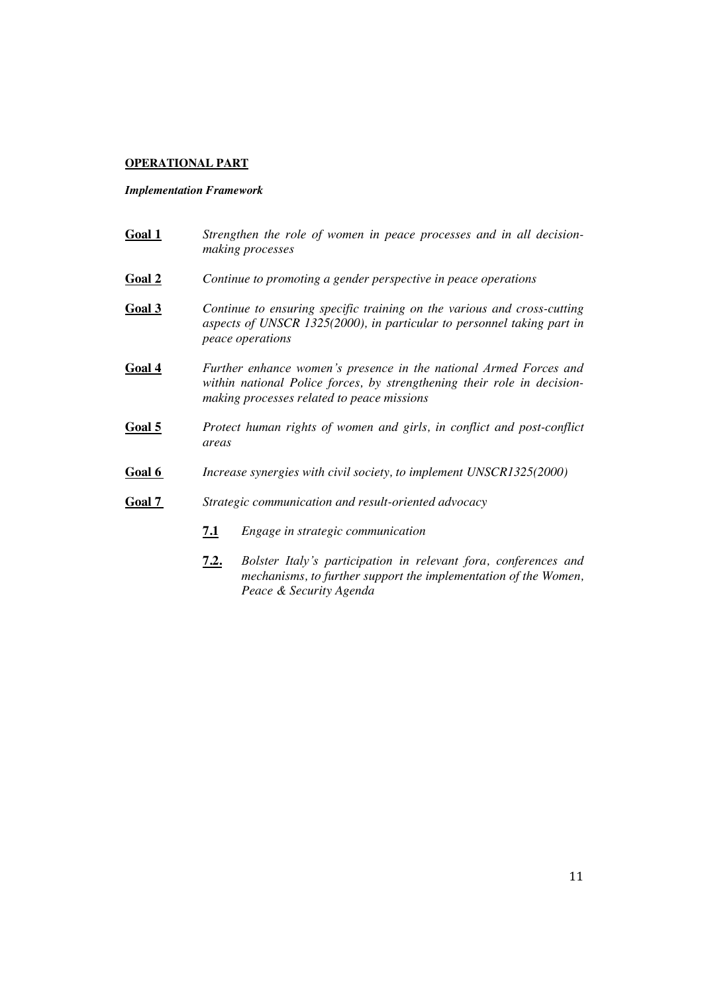#### **OPERATIONAL PART**

#### *Implementation Framework*

- **Goal 1** *Strengthen the role of women in peace processes and in all decisionmaking processes* **Goal 2** *Continue to promoting a gender perspective in peace operations* **Goal 3** *Continue to ensuring specific training on the various and cross-cutting aspects of UNSCR 1325(2000), in particular to personnel taking part in peace operations* **Goal 4** *Further enhance women's presence in the national Armed Forces and within national Police forces, by strengthening their role in decisionmaking processes related to peace missions* **Goal 5** *Protect human rights of women and girls, in conflict and post-conflict areas* **Goal 6** *Increase synergies with civil society, to implement UNSCR1325(2000)* **Goal 7** *Strategic communication and result-oriented advocacy*
	- **7.1** *Engage in strategic communication*
	- **7.2.** *Bolster Italy's participation in relevant fora, conferences and mechanisms, to further support the implementation of the Women, Peace & Security Agenda*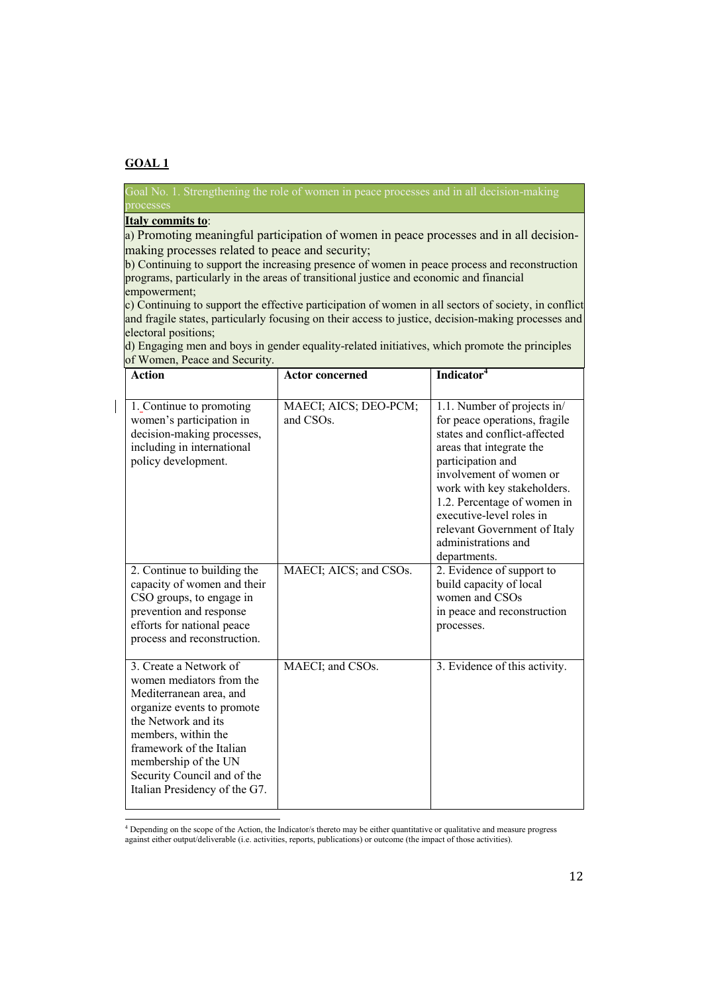Goal No. 1. Strengthening the role of women in peace processes and in all decision-making

### **Italy commits to**:

a) Promoting meaningful participation of women in peace processes and in all decisionmaking processes related to peace and security;

b) Continuing to support the increasing presence of women in peace process and reconstruction programs, particularly in the areas of transitional justice and economic and financial empowerment;

c) Continuing to support the effective participation of women in all sectors of society, in conflict and fragile states, particularly focusing on their access to justice, decision-making processes and electoral positions;

| <b>Action</b>                                                                                                                                                                                                                                                                 | <b>Actor concerned</b>                                                    | Indicator <sup>4</sup>                                                                                                                                                                                                                                                                                                                                                 |
|-------------------------------------------------------------------------------------------------------------------------------------------------------------------------------------------------------------------------------------------------------------------------------|---------------------------------------------------------------------------|------------------------------------------------------------------------------------------------------------------------------------------------------------------------------------------------------------------------------------------------------------------------------------------------------------------------------------------------------------------------|
| 1. Continue to promoting<br>women's participation in<br>decision-making processes,<br>including in international<br>policy development.<br>2. Continue to building the                                                                                                        | MAECI; AICS; DEO-PCM;<br>and CSO <sub>s</sub> .<br>MAECI; AICS; and CSOs. | 1.1. Number of projects in/<br>for peace operations, fragile<br>states and conflict-affected<br>areas that integrate the<br>participation and<br>involvement of women or<br>work with key stakeholders.<br>1.2. Percentage of women in<br>executive-level roles in<br>relevant Government of Italy<br>administrations and<br>departments.<br>2. Evidence of support to |
| capacity of women and their<br>CSO groups, to engage in<br>prevention and response<br>efforts for national peace<br>process and reconstruction.                                                                                                                               |                                                                           | build capacity of local<br>women and CSOs<br>in peace and reconstruction<br>processes.                                                                                                                                                                                                                                                                                 |
| 3. Create a Network of<br>women mediators from the<br>Mediterranean area, and<br>organize events to promote<br>the Network and its<br>members, within the<br>framework of the Italian<br>membership of the UN<br>Security Council and of the<br>Italian Presidency of the G7. | MAECI; and CSOs.                                                          | 3. Evidence of this activity.                                                                                                                                                                                                                                                                                                                                          |

d) Engaging men and boys in gender equality-related initiatives, which promote the principles of Women, Peace and Security.

<u>.</u> <sup>4</sup> Depending on the scope of the Action, the Indicator/s thereto may be either quantitative or qualitative and measure progress against either output/deliverable (i.e. activities, reports, publications) or outcome (the impact of those activities).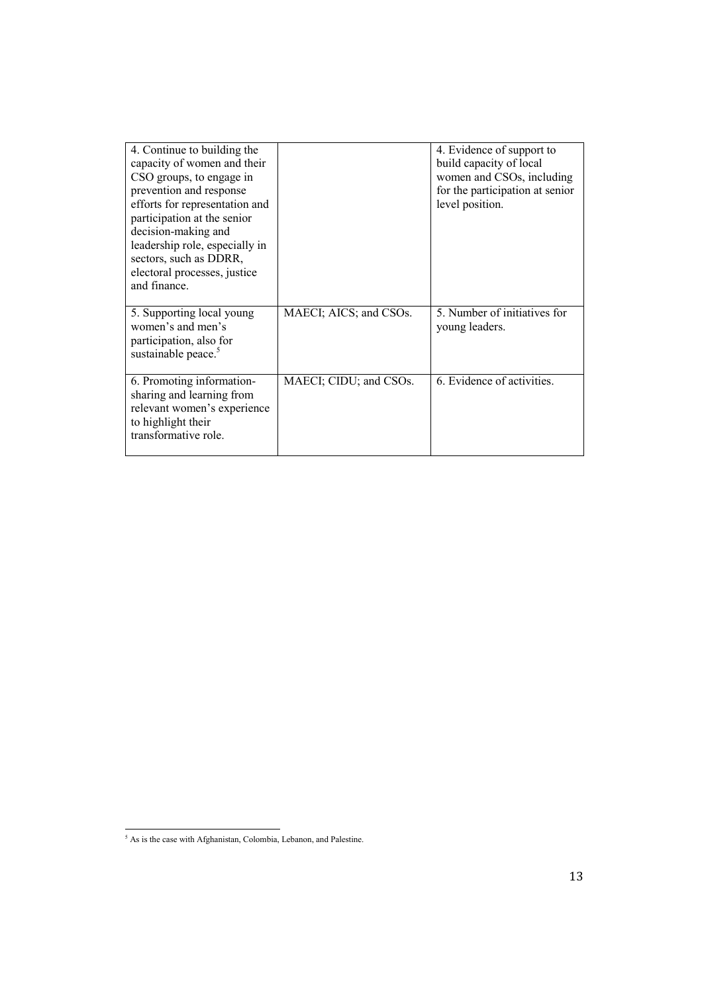| 4. Continue to building the<br>capacity of women and their<br>CSO groups, to engage in<br>prevention and response<br>efforts for representation and<br>participation at the senior<br>decision-making and<br>leadership role, especially in<br>sectors, such as DDRR,<br>electoral processes, justice<br>and finance. |                        | 4. Evidence of support to<br>build capacity of local<br>women and CSOs, including<br>for the participation at senior<br>level position. |
|-----------------------------------------------------------------------------------------------------------------------------------------------------------------------------------------------------------------------------------------------------------------------------------------------------------------------|------------------------|-----------------------------------------------------------------------------------------------------------------------------------------|
| 5. Supporting local young<br>women's and men's<br>participation, also for<br>sustainable peace. <sup>5</sup>                                                                                                                                                                                                          | MAECI; AICS; and CSOs. | 5. Number of initiatives for<br>young leaders.                                                                                          |
| 6. Promoting information-<br>sharing and learning from<br>relevant women's experience<br>to highlight their<br>transformative role.                                                                                                                                                                                   | MAECI; CIDU; and CSOs. | 6. Evidence of activities.                                                                                                              |

<sup>&</sup>lt;u>.</u>  $<sup>5</sup>$  As is the case with Afghanistan, Colombia, Lebanon, and Palestine.</sup>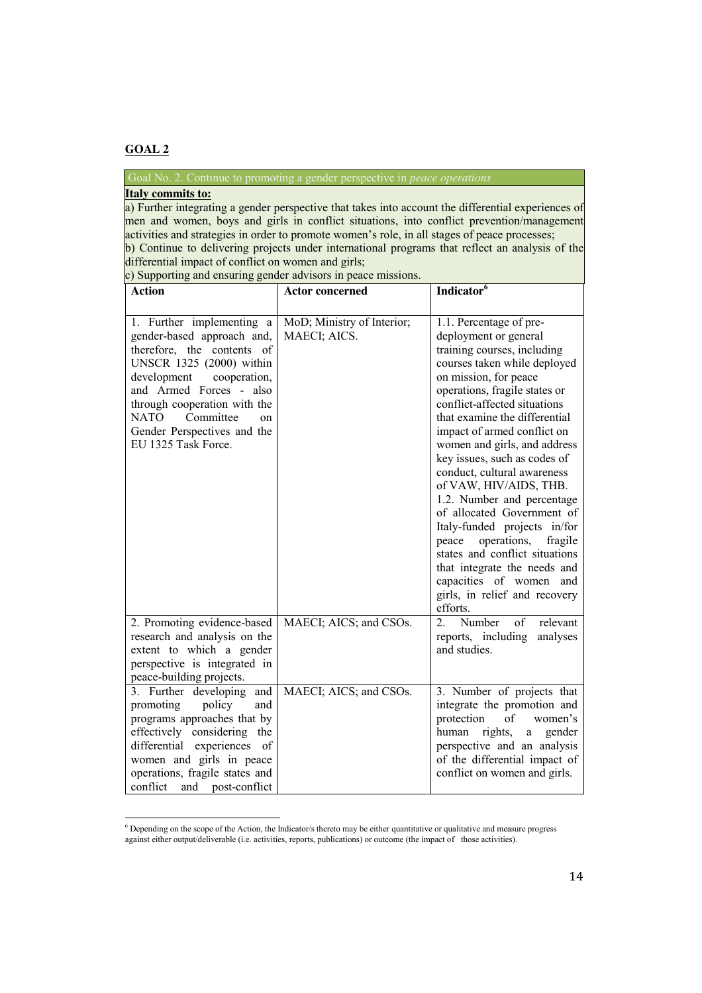<u>.</u>

## Goal No. 2. Continue to promoting a gender perspective in *peace operations*

## **Italy commits to:**

a) Further integrating a gender perspective that takes into account the differential experiences of men and women, boys and girls in conflict situations, into conflict prevention/management activities and strategies in order to promote women's role, in all stages of peace processes; • b) Continue to delivering projects under international programs that reflect an analysis of the differential impact of conflict on women and girls;

• c) Supporting and ensuring gender advisors in peace missions.

| <b>Action</b>                                                                                                                                                                                                                                                                                | <b>Actor concerned</b>                     | Indicator <sup>6</sup>                                                                                                                                                                                                                                                                                                                                                                                                                                                                                                                                                                                                                                                      |
|----------------------------------------------------------------------------------------------------------------------------------------------------------------------------------------------------------------------------------------------------------------------------------------------|--------------------------------------------|-----------------------------------------------------------------------------------------------------------------------------------------------------------------------------------------------------------------------------------------------------------------------------------------------------------------------------------------------------------------------------------------------------------------------------------------------------------------------------------------------------------------------------------------------------------------------------------------------------------------------------------------------------------------------------|
| 1. Further implementing a<br>gender-based approach and,<br>therefore, the contents of<br>UNSCR 1325 (2000) within<br>development<br>cooperation,<br>and Armed Forces - also<br>through cooperation with the<br>NATO<br>Committee<br>on<br>Gender Perspectives and the<br>EU 1325 Task Force. | MoD; Ministry of Interior;<br>MAECI; AICS. | 1.1. Percentage of pre-<br>deployment or general<br>training courses, including<br>courses taken while deployed<br>on mission, for peace<br>operations, fragile states or<br>conflict-affected situations<br>that examine the differential<br>impact of armed conflict on<br>women and girls, and address<br>key issues, such as codes of<br>conduct, cultural awareness<br>of VAW, HIV/AIDS, THB.<br>1.2. Number and percentage<br>of allocated Government of<br>Italy-funded projects in/for<br>operations,<br>fragile<br>peace<br>states and conflict situations<br>that integrate the needs and<br>capacities of women and<br>girls, in relief and recovery<br>efforts. |
| 2. Promoting evidence-based<br>research and analysis on the<br>extent to which a gender<br>perspective is integrated in<br>peace-building projects.                                                                                                                                          | MAECI; AICS; and CSOs.                     | $\overline{2}$<br>Number<br>of<br>relevant<br>reports, including<br>analyses<br>and studies.                                                                                                                                                                                                                                                                                                                                                                                                                                                                                                                                                                                |
| 3. Further developing and<br>promoting<br>policy<br>and<br>programs approaches that by<br>effectively considering the<br>experiences<br>differential<br>of<br>women and girls in peace<br>operations, fragile states and<br>conflict<br>and post-conflict                                    | MAECI; AICS; and CSOs.                     | 3. Number of projects that<br>integrate the promotion and<br>protection<br>of<br>women's<br>rights,<br>human<br>gender<br>a<br>perspective and an analysis<br>of the differential impact of<br>conflict on women and girls.                                                                                                                                                                                                                                                                                                                                                                                                                                                 |

<sup>&</sup>lt;sup>6</sup> Depending on the scope of the Action, the Indicator/s thereto may be either quantitative or qualitative and measure progress against either output/deliverable (i.e. activities, reports, publications) or outcome (the impact of those activities).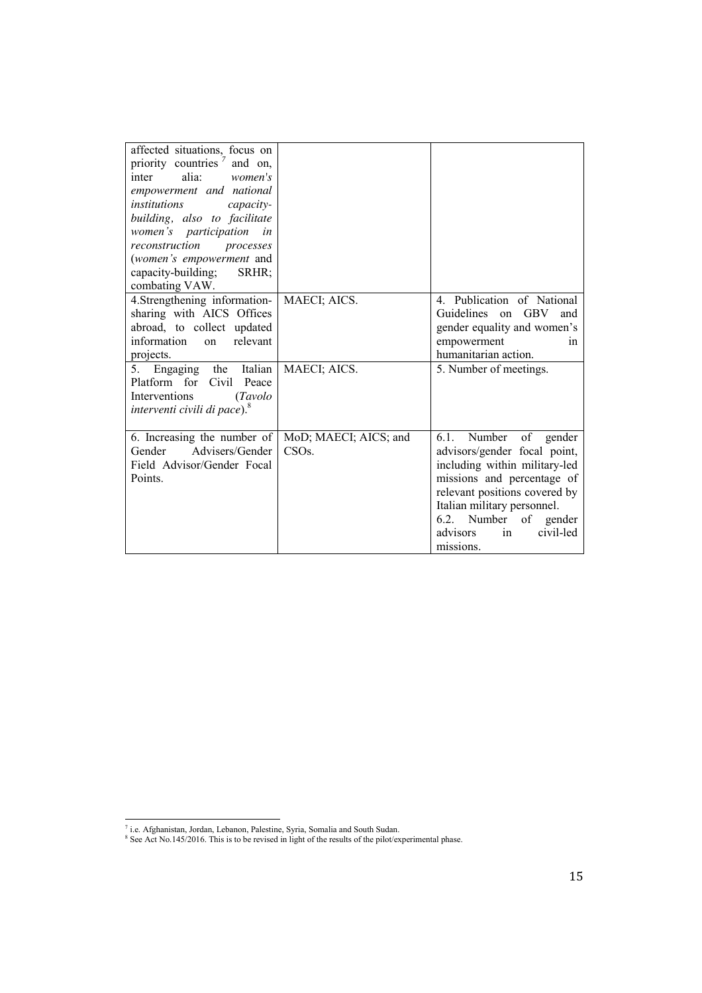| affected situations, focus on<br>priority countries<br>and on,<br>alia:<br>women's<br>inter<br>empowerment and national<br>institutions<br>capacity-<br>building, also to facilitate<br>women's participation<br>in<br>reconstruction<br>processes<br>(women's empowerment and<br>capacity-building;<br>SRHR; |                                           |                                                                                                                                                                                                                                                                 |
|---------------------------------------------------------------------------------------------------------------------------------------------------------------------------------------------------------------------------------------------------------------------------------------------------------------|-------------------------------------------|-----------------------------------------------------------------------------------------------------------------------------------------------------------------------------------------------------------------------------------------------------------------|
| combating VAW.                                                                                                                                                                                                                                                                                                |                                           |                                                                                                                                                                                                                                                                 |
| 4. Strengthening information-<br>sharing with AICS Offices<br>abroad, to collect updated<br>information<br>relevant<br>on<br>projects.                                                                                                                                                                        | MAECI; AICS.                              | 4. Publication of National<br>Guidelines<br><b>GBV</b><br>on<br>and<br>gender equality and women's<br>empowerment<br>in<br>humanitarian action.                                                                                                                 |
| 5. Engaging the Italian<br>Platform for Civil Peace<br>Interventions<br>(Tavolo<br>interventi civili di pace). <sup>8</sup>                                                                                                                                                                                   | MAECI; AICS.                              | 5. Number of meetings.                                                                                                                                                                                                                                          |
| 6. Increasing the number of<br>Advisers/Gender<br>Gender<br>Field Advisor/Gender Focal<br>Points.                                                                                                                                                                                                             | MoD; MAECI; AICS; and<br>CSO <sub>s</sub> | Number of gender<br>6.1.<br>advisors/gender focal point,<br>including within military-led<br>missions and percentage of<br>relevant positions covered by<br>Italian military personnel.<br>Number of gender<br>6.2.<br>civil-led<br>advisors<br>in<br>missions. |

<u>.</u>

 $<sup>7</sup>$  i.e. Afghanistan, Jordan, Lebanon, Palestine, Syria, Somalia and South Sudan.</sup>

 $8$  See Act No.145/2016. This is to be revised in light of the results of the pilot/experimental phase.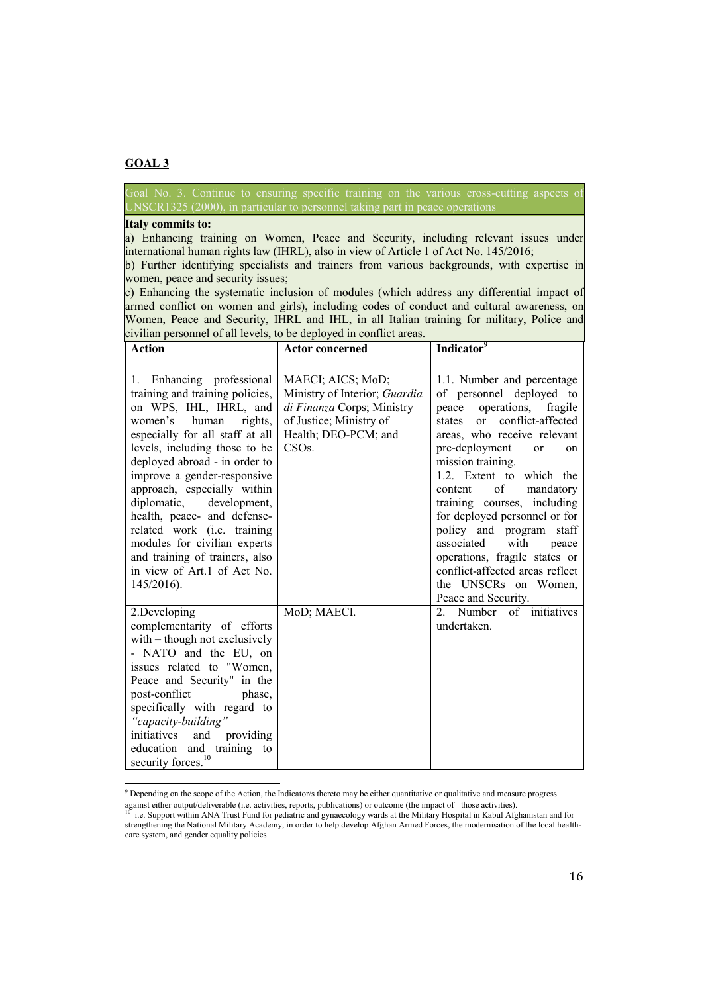<u>.</u>

UNSCR1325 (2000), in particular to personnel taking part in peace operations

#### **Italy commits to:**

a) Enhancing training on Women, Peace and Security, including relevant issues under international human rights law (IHRL), also in view of Article 1 of Act No. 145/2016;

b) Further identifying specialists and trainers from various backgrounds, with expertise in women, peace and security issues;

c) Enhancing the systematic inclusion of modules (which address any differential impact of armed conflict on women and girls), including codes of conduct and cultural awareness, on Women, Peace and Security, IHRL and IHL, in all Italian training for military, Police and civilian personnel of all levels, to be deployed in conflict areas.

| <b>Action</b>                                                                                                                                                                                                                                                                                                                                                                                                                                                                                           | <b>Actor concerned</b>                                                                                                                                   | Indicator <sup>9</sup>                                                                                                                                                                                                                                                                                                                                                                                                                                                                                                                 |
|---------------------------------------------------------------------------------------------------------------------------------------------------------------------------------------------------------------------------------------------------------------------------------------------------------------------------------------------------------------------------------------------------------------------------------------------------------------------------------------------------------|----------------------------------------------------------------------------------------------------------------------------------------------------------|----------------------------------------------------------------------------------------------------------------------------------------------------------------------------------------------------------------------------------------------------------------------------------------------------------------------------------------------------------------------------------------------------------------------------------------------------------------------------------------------------------------------------------------|
|                                                                                                                                                                                                                                                                                                                                                                                                                                                                                                         |                                                                                                                                                          |                                                                                                                                                                                                                                                                                                                                                                                                                                                                                                                                        |
| 1. Enhancing professional<br>training and training policies,<br>on WPS, IHL, IHRL, and<br>women's<br>human<br>rights,<br>especially for all staff at all<br>levels, including those to be<br>deployed abroad - in order to<br>improve a gender-responsive<br>approach, especially within<br>diplomatic,<br>development,<br>health, peace- and defense-<br>related work (i.e. training<br>modules for civilian experts<br>and training of trainers, also<br>in view of Art.1 of Act No.<br>$145/2016$ ). | MAECI; AICS; MoD;<br>Ministry of Interior; Guardia<br>di Finanza Corps; Ministry<br>of Justice; Ministry of<br>Health; DEO-PCM; and<br>CSO <sub>s.</sub> | 1.1. Number and percentage<br>of personnel deployed to<br>operations,<br>peace<br>fragile<br>conflict-affected<br>or<br>states<br>areas, who receive relevant<br>pre-deployment<br><sub>or</sub><br>on<br>mission training.<br>1.2. Extent to which the<br>of<br>mandatory<br>content<br>training courses, including<br>for deployed personnel or for<br>policy and program<br>staff<br>associated<br>with<br>peace<br>operations, fragile states or<br>conflict-affected areas reflect<br>the UNSCRs on Women,<br>Peace and Security. |
| 2.Developing<br>complementarity of efforts<br>with – though not exclusively<br>- NATO and the EU, on<br>issues related to "Women,<br>Peace and Security" in the<br>post-conflict<br>phase,<br>specifically with regard to<br>"capacity-building"<br>initiatives<br>and<br>providing<br>education<br>and<br>training to<br>security forces. <sup>10</sup>                                                                                                                                                | MoD; MAECI.                                                                                                                                              | of initiatives<br>2. Number<br>undertaken.                                                                                                                                                                                                                                                                                                                                                                                                                                                                                             |

<sup>9</sup> Depending on the scope of the Action, the Indicator/s thereto may be either quantitative or qualitative and measure progress

against either output/deliverable (i.e. activities, reports, publications) or outcome (the impact of those activities).

<sup>10</sup> i.e. Support within ANA Trust Fund for pediatric and gynaecology wards at the Military Hospital in Kabul Afghanistan and for strengthening the National Military Academy, in order to help develop Afghan Armed Forces, the modernisation of the local healthcare system, and gender equality policies.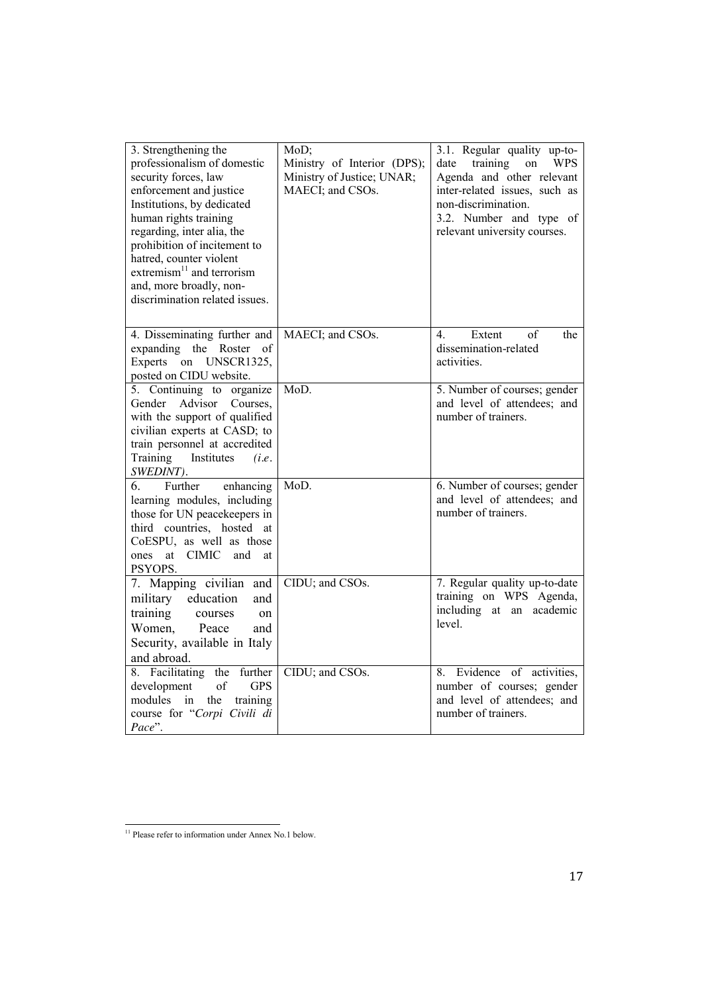| 3. Strengthening the<br>professionalism of domestic<br>security forces, law<br>enforcement and justice<br>Institutions, by dedicated<br>human rights training<br>regarding, inter alia, the<br>prohibition of incitement to<br>hatred, counter violent<br>extremism $^{11}$ and terrorism<br>and, more broadly, non-<br>discrimination related issues. | MoD;<br>Ministry of Interior (DPS);<br>Ministry of Justice; UNAR;<br>MAECI; and CSOs. | 3.1. Regular quality up-to-<br>training<br><b>WPS</b><br>date<br>on<br>Agenda and other relevant<br>inter-related issues, such as<br>non-discrimination.<br>3.2. Number and type of<br>relevant university courses. |
|--------------------------------------------------------------------------------------------------------------------------------------------------------------------------------------------------------------------------------------------------------------------------------------------------------------------------------------------------------|---------------------------------------------------------------------------------------|---------------------------------------------------------------------------------------------------------------------------------------------------------------------------------------------------------------------|
| 4. Disseminating further and<br>expanding the Roster of<br>Experts on UNSCR1325,<br>posted on CIDU website.                                                                                                                                                                                                                                            | MAECI; and CSOs.                                                                      | 4.<br>Extent<br>of<br>the<br>dissemination-related<br>activities.                                                                                                                                                   |
| 5. Continuing to organize<br>Advisor<br>Gender<br>Courses,<br>with the support of qualified<br>civilian experts at CASD; to<br>train personnel at accredited<br>Training<br>Institutes<br>(i.e.<br>SWEDINT).                                                                                                                                           | MoD.                                                                                  | 5. Number of courses; gender<br>and level of attendees; and<br>number of trainers.                                                                                                                                  |
| 6.<br>Further<br>enhancing<br>learning modules, including<br>those for UN peacekeepers in<br>third countries, hosted at<br>CoESPU, as well as those<br>at CIMIC<br>and<br>ones<br>at<br>PSYOPS.                                                                                                                                                        | MoD.                                                                                  | 6. Number of courses; gender<br>and level of attendees; and<br>number of trainers.                                                                                                                                  |
| 7. Mapping civilian and<br>military<br>education<br>and<br>training<br>courses<br>on<br>Women,<br>Peace<br>and<br>Security, available in Italy<br>and abroad.                                                                                                                                                                                          | CIDU; and CSOs.                                                                       | 7. Regular quality up-to-date<br>training on WPS Agenda,<br>including at an academic<br>level                                                                                                                       |
| 8. Facilitating the further<br><b>GPS</b><br>development<br>of<br>modules<br>the<br>training<br>in<br>course for "Corpi Civili di<br>Pace".                                                                                                                                                                                                            | CIDU; and CSOs.                                                                       | 8. Evidence of activities,<br>number of courses; gender<br>and level of attendees; and<br>number of trainers.                                                                                                       |

<u>.</u>

<sup>&</sup>lt;sup>11</sup> Please refer to information under Annex No.1 below.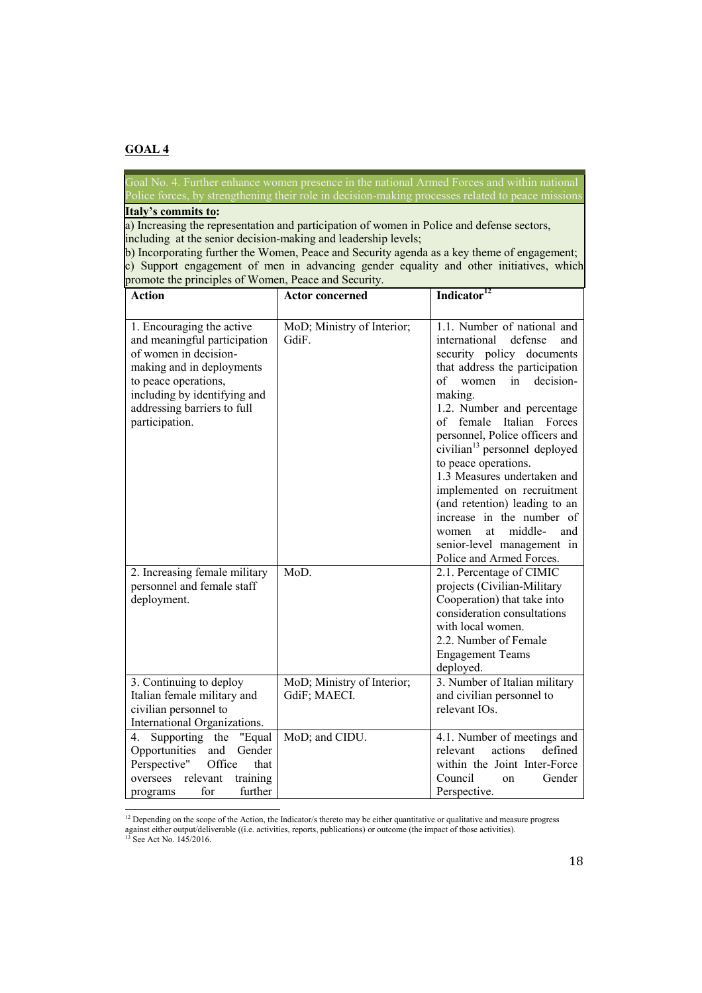Police forces, by strengthening their role in decision-making processes related to peace missions

## **Italy's commits to:**

a) Increasing the representation and participation of women in Police and defense sectors, including at the senior decision-making and leadership levels;

• b) Incorporating further the Women, Peace and Security agenda as a key theme of engagement; • c) Support engagement of men in advancing gender equality and other initiatives, which promote the principles of Women, Peace and Security.

| <b>Action</b>                    | <b>Actor concerned</b>     | Indicator <sup>12</sup>                   |
|----------------------------------|----------------------------|-------------------------------------------|
| 1. Encouraging the active        | MoD; Ministry of Interior; | 1.1. Number of national and               |
| and meaningful participation     | GdiF.                      | international<br>defense<br>and           |
| of women in decision-            |                            | security policy documents                 |
| making and in deployments        |                            | that address the participation            |
| to peace operations,             |                            | decision-<br>of<br>women<br>in            |
| including by identifying and     |                            | making.                                   |
| addressing barriers to full      |                            | 1.2. Number and percentage                |
| participation.                   |                            | of female<br>Italian Forces               |
|                                  |                            | personnel, Police officers and            |
|                                  |                            | civilian <sup>13</sup> personnel deployed |
|                                  |                            | to peace operations.                      |
|                                  |                            | 1.3 Measures undertaken and               |
|                                  |                            | implemented on recruitment                |
|                                  |                            | (and retention) leading to an             |
|                                  |                            | increase in the number of                 |
|                                  |                            | middle-<br>at<br>and<br>women             |
|                                  |                            | senior-level management in                |
|                                  |                            | Police and Armed Forces.                  |
| 2. Increasing female military    | MoD.                       | 2.1. Percentage of CIMIC                  |
| personnel and female staff       |                            | projects (Civilian-Military               |
| deployment.                      |                            | Cooperation) that take into               |
|                                  |                            | consideration consultations               |
|                                  |                            | with local women.                         |
|                                  |                            | 2.2. Number of Female                     |
|                                  |                            | <b>Engagement Teams</b>                   |
|                                  |                            | deployed.                                 |
| 3. Continuing to deploy          | MoD; Ministry of Interior; | 3. Number of Italian military             |
| Italian female military and      | GdiF; MAECI.               | and civilian personnel to                 |
| civilian personnel to            |                            | relevant IOs.                             |
| International Organizations.     |                            |                                           |
| Supporting the<br>4.<br>"Equal   | MoD; and CIDU.             | 4.1. Number of meetings and               |
| Opportunities<br>and<br>Gender   |                            | relevant<br>actions<br>defined            |
| Office<br>Perspective"<br>that   |                            | within the Joint Inter-Force              |
| relevant<br>training<br>oversees |                            | Council<br>Gender<br>on                   |
| further<br>for<br>programs       |                            | Perspective.                              |
|                                  |                            |                                           |

 $12$  Depending on the scope of the Action, the Indicator/s thereto may be either quantitative or qualitative and measure progress against either output/deliverable ((i.e. activities, reports, publications) or outcome (the impact of those activities). <sup>13</sup> See Act No. 145/2016.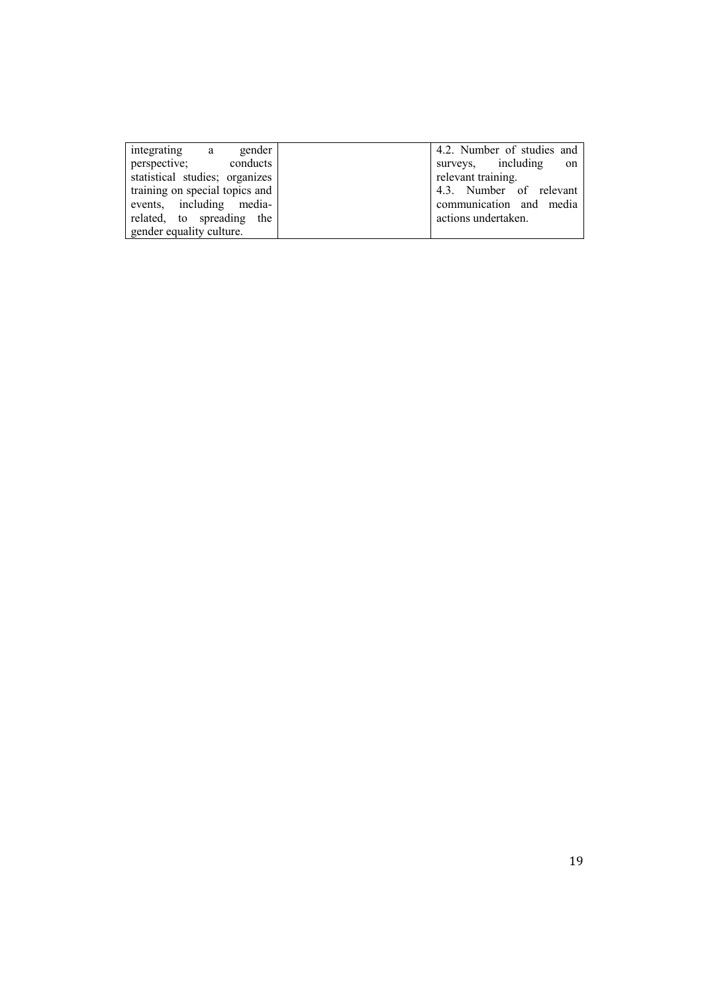| gender<br>integrating a        | 4.2. Number of studies and |
|--------------------------------|----------------------------|
| perspective;<br>conducts       | surveys, including<br>on   |
| statistical studies; organizes | relevant training.         |
| training on special topics and | 4.3. Number of relevant    |
| events, including media-       | communication and media    |
| related, to spreading the      | actions undertaken.        |
| gender equality culture.       |                            |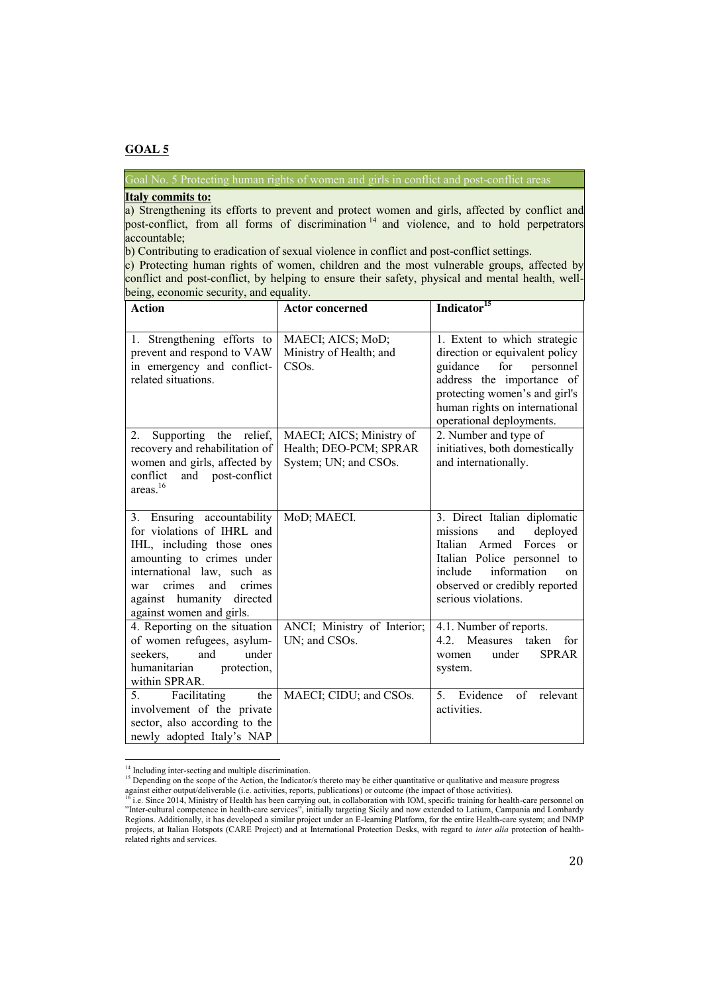Goal No. 5 Protecting human rights of women and girls in conflict and post-conflict areas

### • **Italy commits to:**

a) Strengthening its efforts to prevent and protect women and girls, affected by conflict and post-conflict, from all forms of discrimination<sup>14</sup> and violence, and to hold perpetrators accountable;

b) Contributing to eradication of sexual violence in conflict and post-conflict settings.

c) Protecting human rights of women, children and the most vulnerable groups, affected by conflict and post-conflict, by helping to ensure their safety, physical and mental health, wellbeing, economic security, and equality.

| <b>Action</b>                                                                                                                                                                                                                                  | <b>Actor concerned</b>                                                      | Indicator <sup>15</sup>                                                                                                                                                                                                   |
|------------------------------------------------------------------------------------------------------------------------------------------------------------------------------------------------------------------------------------------------|-----------------------------------------------------------------------------|---------------------------------------------------------------------------------------------------------------------------------------------------------------------------------------------------------------------------|
|                                                                                                                                                                                                                                                |                                                                             |                                                                                                                                                                                                                           |
| 1. Strengthening efforts to<br>prevent and respond to VAW<br>in emergency and conflict-<br>related situations.                                                                                                                                 | MAECI; AICS; MoD;<br>Ministry of Health; and<br>CSOs.                       | 1. Extent to which strategic<br>direction or equivalent policy<br>guidance<br>for personnel<br>address the importance of<br>protecting women's and girl's<br>human rights on international<br>operational deployments.    |
| Supporting<br>the relief,<br>$2_{-}$<br>recovery and rehabilitation of<br>women and girls, affected by<br>conflict<br>and post-conflict<br>areas. <sup>16</sup>                                                                                | MAECI; AICS; Ministry of<br>Health; DEO-PCM; SPRAR<br>System; UN; and CSOs. | 2. Number and type of<br>initiatives, both domestically<br>and internationally.                                                                                                                                           |
| 3. Ensuring accountability<br>for violations of IHRL and<br>IHL, including those ones<br>amounting to crimes under<br>international law, such as<br>crimes<br>crimes<br>and<br>war<br>against humanity<br>directed<br>against women and girls. | MoD; MAECI.                                                                 | 3. Direct Italian diplomatic<br>missions<br>and<br>deployed<br>Italian Armed<br>Forces<br>$\alpha$<br>Italian Police personnel to<br>include<br>information<br>on<br>observed or credibly reported<br>serious violations. |
| 4. Reporting on the situation<br>of women refugees, asylum-<br>seekers,<br>under<br>and<br>humanitarian<br>protection,<br>within SPRAR.                                                                                                        | ANCI; Ministry of Interior;<br>UN; and CSOs.                                | 4.1. Number of reports.<br>4.2. Measures taken<br>for<br>under<br><b>SPRAR</b><br>women<br>system.                                                                                                                        |
| Facilitating<br>the<br>5.<br>involvement of the private<br>sector, also according to the<br>newly adopted Italy's NAP                                                                                                                          | MAECI; CIDU; and CSOs.                                                      | Evidence<br>5.<br>of<br>relevant<br>activities.                                                                                                                                                                           |

 $14$  Including inter-secting and multiple discrimination.

<sup>&</sup>lt;sup>15</sup> Depending on the scope of the Action, the Indicator/s thereto may be either quantitative or qualitative and measure progress

against either output/deliverable (i.e. activities, reports, publications) or outcome (the impact of those activities).<br><sup>16</sup> i.e. Since 2014, Ministry of Health has been carrying out, in collaboration with IOM, specific tr "Inter-cultural competence in health-care services", initially targeting Sicily and now extended to Latium, Campania and Lombardy Regions. Additionally, it has developed a similar project under an E-learning Platform, for the entire Health-care system; and INMP projects, at Italian Hotspots (CARE Project) and at International Protection Desks, with regard to *inter alia* protection of healthrelated rights and services.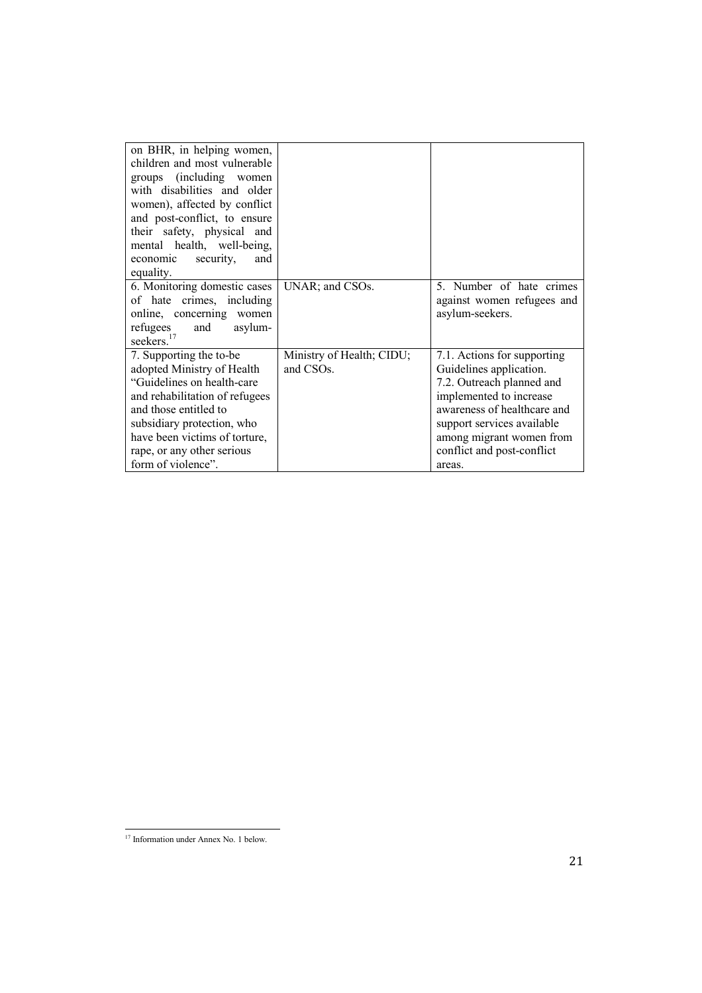| on BHR, in helping women,<br>children and most vulnerable<br>groups (including women<br>with disabilities and older<br>women), affected by conflict<br>and post-conflict, to ensure<br>their safety, physical and<br>mental health, well-being,<br>security,<br>economic<br>and<br>equality. |                                                     |                                                                                                                                                                                                                                                 |
|----------------------------------------------------------------------------------------------------------------------------------------------------------------------------------------------------------------------------------------------------------------------------------------------|-----------------------------------------------------|-------------------------------------------------------------------------------------------------------------------------------------------------------------------------------------------------------------------------------------------------|
| 6. Monitoring domestic cases<br>of hate crimes, including<br>online, concerning women<br>and<br>refugees<br>asylum-<br>seekers. <sup>17</sup>                                                                                                                                                | UNAR; and CSOs.                                     | 5. Number of hate crimes<br>against women refugees and<br>asylum-seekers.                                                                                                                                                                       |
| 7. Supporting the to-be<br>adopted Ministry of Health<br>"Guidelines on health-care"<br>and rehabilitation of refugees<br>and those entitled to<br>subsidiary protection, who<br>have been victims of torture,<br>rape, or any other serious<br>form of violence".                           | Ministry of Health; CIDU;<br>and CSO <sub>s</sub> . | 7.1. Actions for supporting<br>Guidelines application.<br>7.2. Outreach planned and<br>implemented to increase<br>awareness of healthcare and<br>support services available<br>among migrant women from<br>conflict and post-conflict<br>areas. |

<sup>&</sup>lt;u>.</u> <sup>17</sup> Information under Annex No. 1 below.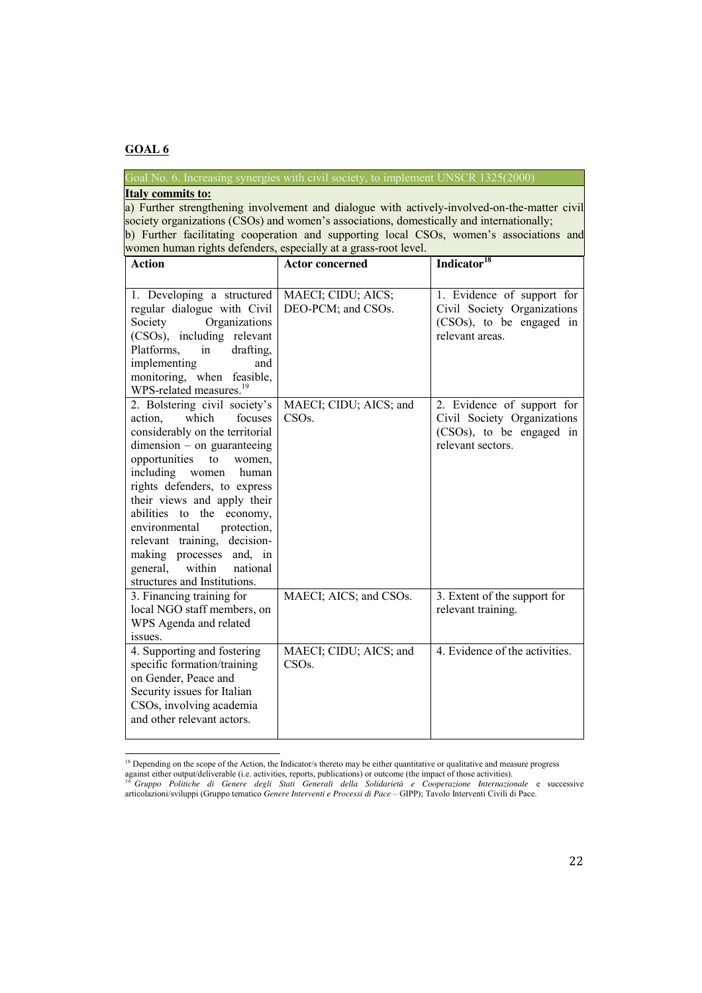<u>.</u>

Goal No. 6. Increasing synergies with civil society, to implement UNSCR 1325(2000)

### **Italy commits to:**

a) Further strengthening involvement and dialogue with actively-involved-on-the-matter civil society organizations (CSOs) and women's associations, domestically and internationally;

b) Further facilitating cooperation and supporting local CSOs, women's associations and women human rights defenders, especially at a grass-root level.

| <b>Action</b>                                                                                                                                                                                                                                                                                                                                                                                                                                                 | <b>Actor concerned</b>                       | Indicator <sup>18</sup>                                                                                    |
|---------------------------------------------------------------------------------------------------------------------------------------------------------------------------------------------------------------------------------------------------------------------------------------------------------------------------------------------------------------------------------------------------------------------------------------------------------------|----------------------------------------------|------------------------------------------------------------------------------------------------------------|
|                                                                                                                                                                                                                                                                                                                                                                                                                                                               |                                              |                                                                                                            |
| 1. Developing a structured<br>regular dialogue with Civil<br>Organizations<br>Society<br>(CSOs), including relevant<br>drafting,<br>Platforms,<br>in<br>implementing<br>and<br>monitoring, when feasible,<br>WPS-related measures. <sup>19</sup>                                                                                                                                                                                                              | MAECI; CIDU; AICS;<br>DEO-PCM; and CSOs.     | 1. Evidence of support for<br>Civil Society Organizations<br>(CSOs), to be engaged in<br>relevant areas.   |
| 2. Bolstering civil society's<br>which<br>focuses<br>action,<br>considerably on the territorial<br>$dimension - on$ guaranteeing<br>opportunities<br>to<br>women,<br>including<br>women<br>human<br>rights defenders, to express<br>their views and apply their<br>abilities to the<br>economy,<br>protection,<br>environmental<br>relevant training, decision-<br>making processes and, in<br>within<br>general,<br>national<br>structures and Institutions. | MAECI; CIDU; AICS; and<br>CSOs.              | 2. Evidence of support for<br>Civil Society Organizations<br>(CSOs), to be engaged in<br>relevant sectors. |
| 3. Financing training for<br>local NGO staff members, on<br>WPS Agenda and related<br>issues.                                                                                                                                                                                                                                                                                                                                                                 | MAECI; AICS; and CSOs.                       | 3. Extent of the support for<br>relevant training.                                                         |
| 4. Supporting and fostering<br>specific formation/training<br>on Gender, Peace and<br>Security issues for Italian<br>CSOs, involving academia<br>and other relevant actors.                                                                                                                                                                                                                                                                                   | MAECI; CIDU; AICS; and<br>CSO <sub>s</sub> . | 4. Evidence of the activities.                                                                             |

<sup>&</sup>lt;sup>18</sup> Depending on the scope of the Action, the Indicator/s thereto may be either quantitative or qualitative and measure progress

against either output/deliverable (i.e. activities, reports, publications) or outcome (the impact of those activities).<br><sup>19</sup> Gruppo Politiche di Genere degli Stati Generali della Solidarietà e Cooperazione Internazionale e articolazioni/sviluppi (Gruppo tematico *Genere Interventi e Processi di Pace* – GIPP); Tavolo Interventi Civili di Pace.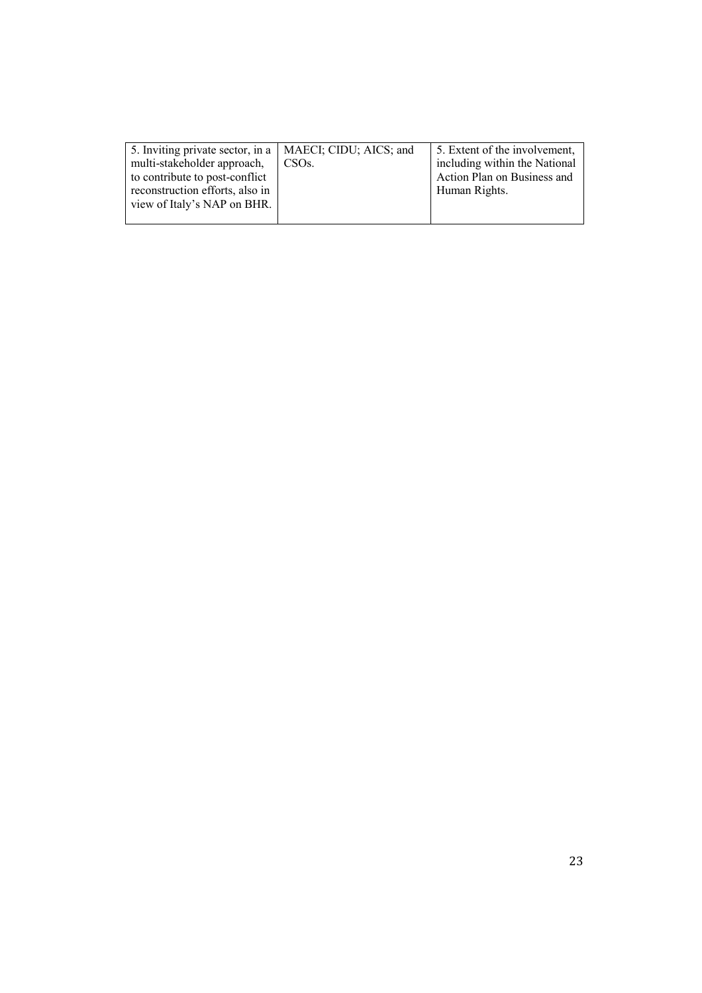| 5. Inviting private sector, in a   MAECI; CIDU; AICS; and |                    | 5. Extent of the involvement, |
|-----------------------------------------------------------|--------------------|-------------------------------|
| multi-stakeholder approach,                               | CSO <sub>s</sub> . | including within the National |
| to contribute to post-conflict                            |                    | Action Plan on Business and   |
| reconstruction efforts, also in                           |                    | Human Rights.                 |
| view of Italy's NAP on BHR.                               |                    |                               |
|                                                           |                    |                               |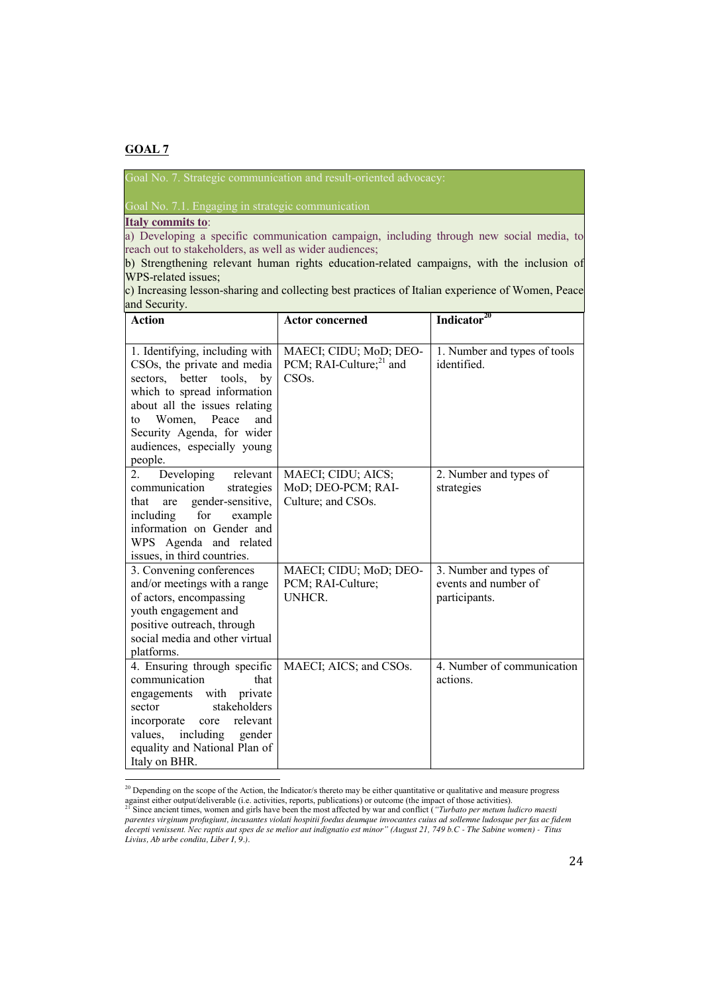Goal No. 7. Strategic communication and result-oriented advocacy:

Goal No. 7.1. Engaging in strategic communication

**Italy commits to**:

a) Developing a specific communication campaign, including through new social media, to reach out to stakeholders, as well as wider audiences;

b) Strengthening relevant human rights education-related campaigns, with the inclusion of WPS-related issues;

c) Increasing lesson-sharing and collecting best practices of Italian experience of Women, Peace and Security.

| <b>Action</b>                                                                                                                                                                                                                                                                      | <b>Actor concerned</b>                                                        | Indicator <sup>20</sup>                                         |
|------------------------------------------------------------------------------------------------------------------------------------------------------------------------------------------------------------------------------------------------------------------------------------|-------------------------------------------------------------------------------|-----------------------------------------------------------------|
|                                                                                                                                                                                                                                                                                    |                                                                               |                                                                 |
| 1. Identifying, including with<br>CSO <sub>s</sub> , the private and media<br>sectors, better<br>tools, by<br>which to spread information<br>about all the issues relating<br>and<br>Women,<br>Peace<br>to<br>Security Agenda, for wider<br>audiences, especially young<br>people. | MAECI; CIDU; MoD; DEO-<br>PCM; RAI-Culture; $^{21}$ and<br>CSO <sub>s</sub> . | 1. Number and types of tools<br>identified                      |
| Developing<br>relevant<br>2.<br>communication<br>strategies<br>gender-sensitive,<br>that<br>are<br>for<br>including<br>example<br>information on Gender and<br>WPS Agenda and related<br>issues, in third countries.                                                               | MAECI; CIDU; AICS;<br>MoD; DEO-PCM; RAI-<br>Culture; and CSOs.                | 2. Number and types of<br>strategies                            |
| 3. Convening conferences<br>and/or meetings with a range<br>of actors, encompassing<br>youth engagement and<br>positive outreach, through<br>social media and other virtual<br>platforms.                                                                                          | MAECI; CIDU; MoD; DEO-<br>PCM; RAI-Culture;<br><b>UNHCR.</b>                  | 3. Number and types of<br>events and number of<br>participants. |
| 4. Ensuring through specific<br>communication<br>that<br>engagements with<br>private<br>stakeholders<br>sector<br>relevant<br>incorporate<br>core<br>values,<br>including<br>gender<br>equality and National Plan of<br>Italy on BHR.                                              | MAECI; AICS; and CSOs.                                                        | 4. Number of communication<br>actions.                          |

<sup>&</sup>lt;sup>20</sup> Depending on the scope of the Action, the Indicator/s thereto may be either quantitative or qualitative and measure progress against either output/deliverable (i.e. activities, reports, publications) or outcome (the impact of those activities).<br><sup>21</sup> Since ancient times, women and girls have been the most affected by war and conflict (*"Turbato* 

*parentes virginum profugiunt, incusantes violati hospitii foedus deumque invocantes cuius ad sollemne ludosque per fas ac fidem decepti venissent. Nec raptis aut spes de se melior aut indignatio est minor" (August 21, 749 b.C - The Sabine women) - Titus Livius, Ab urbe condita, Liber I, 9.).*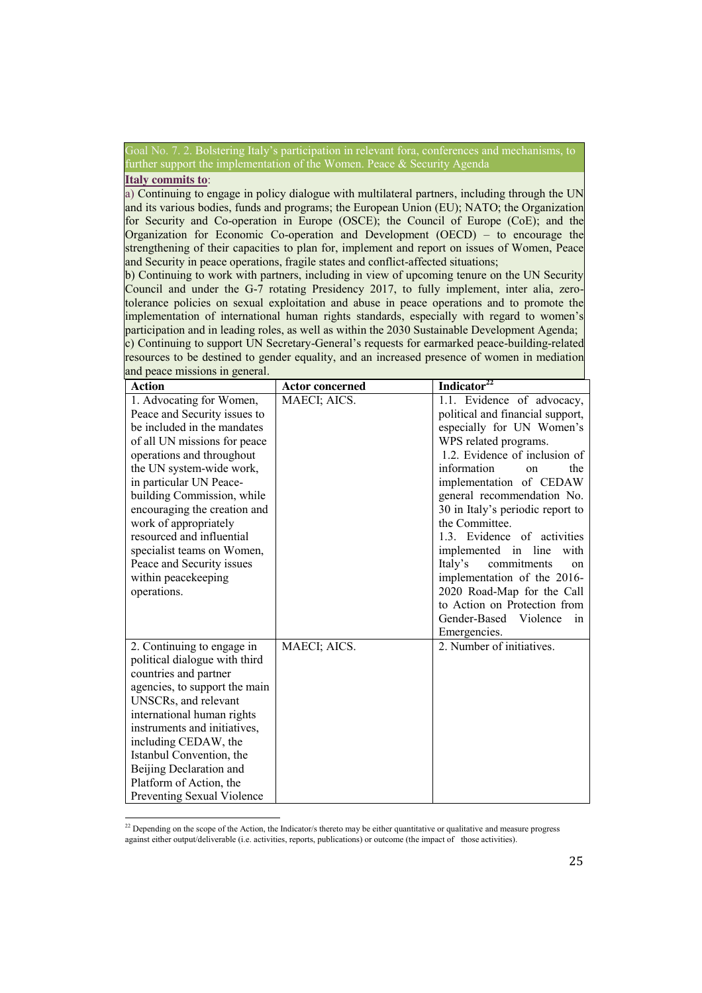2. Bolstering Italy's participation in relevant fora, conferences and mechanisms, to further support the implementation of the Women. Peace & Security Agenda

## **Italy commits to**:

a) Continuing to engage in policy dialogue with multilateral partners, including through the UN and its various bodies, funds and programs; the European Union (EU); NATO; the Organization for Security and Co-operation in Europe (OSCE); the Council of Europe (CoE); and the Organization for Economic Co-operation and Development (OECD) – to encourage the strengthening of their capacities to plan for, implement and report on issues of Women, Peace and Security in peace operations, fragile states and conflict-affected situations;

b) Continuing to work with partners, including in view of upcoming tenure on the UN Security Council and under the G-7 rotating Presidency 2017, to fully implement, inter alia, zerotolerance policies on sexual exploitation and abuse in peace operations and to promote the implementation of international human rights standards, especially with regard to women's participation and in leading roles, as well as within the 2030 Sustainable Development Agenda; c) Continuing to support UN Secretary-General's requests for earmarked peace-building-related resources to be destined to gender equality, and an increased presence of women in mediation and peace missions in general.

| <b>Action</b>                                      | <b>Actor concerned</b> | Indicator <sup>22</sup>          |
|----------------------------------------------------|------------------------|----------------------------------|
| 1. Advocating for Women,                           | MAECI; AICS.           | 1.1. Evidence of advocacy,       |
| Peace and Security issues to                       |                        | political and financial support, |
| be included in the mandates                        |                        | especially for UN Women's        |
| of all UN missions for peace                       |                        | WPS related programs.            |
| operations and throughout                          |                        | 1.2. Evidence of inclusion of    |
| the UN system-wide work,                           |                        | information<br>the<br>on         |
| in particular UN Peace-                            |                        | implementation of CEDAW          |
| building Commission, while                         |                        | general recommendation No.       |
| encouraging the creation and                       |                        | 30 in Italy's periodic report to |
| work of appropriately                              |                        | the Committee.                   |
| resourced and influential                          |                        | 1.3. Evidence of activities      |
| specialist teams on Women,                         |                        | implemented in line<br>with      |
| Peace and Security issues                          |                        | Italy's<br>commitments<br>on     |
| within peacekeeping                                |                        | implementation of the 2016-      |
| operations.                                        |                        | 2020 Road-Map for the Call       |
|                                                    |                        | to Action on Protection from     |
|                                                    |                        | Gender-Based Violence<br>in      |
|                                                    |                        | Emergencies.                     |
| 2. Continuing to engage in                         | MAECI; AICS.           | 2. Number of initiatives.        |
| political dialogue with third                      |                        |                                  |
| countries and partner                              |                        |                                  |
| agencies, to support the main                      |                        |                                  |
| UNSCRs, and relevant                               |                        |                                  |
| international human rights                         |                        |                                  |
| instruments and initiatives,                       |                        |                                  |
| including CEDAW, the                               |                        |                                  |
| Istanbul Convention, the                           |                        |                                  |
| Beijing Declaration and<br>Platform of Action, the |                        |                                  |
| Preventing Sexual Violence                         |                        |                                  |
|                                                    |                        |                                  |

<u>.</u>  $2<sup>22</sup>$  Depending on the scope of the Action, the Indicator/s thereto may be either quantitative or qualitative and measure progress against either output/deliverable (i.e. activities, reports, publications) or outcome (the impact of those activities).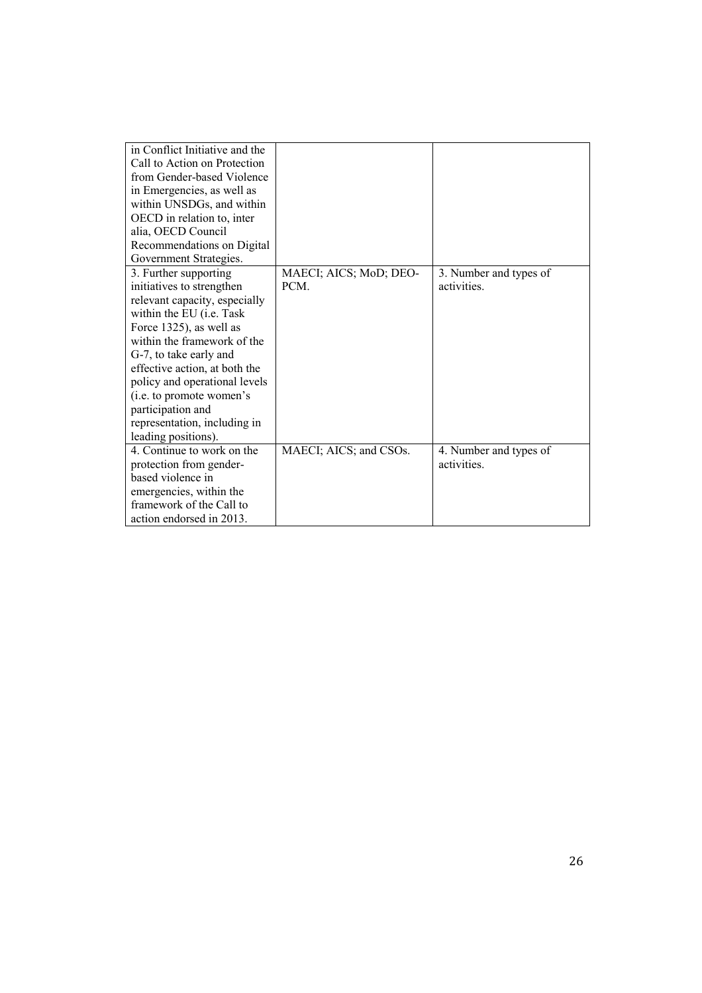| in Conflict Initiative and the   |                        |                        |
|----------------------------------|------------------------|------------------------|
| Call to Action on Protection     |                        |                        |
| from Gender-based Violence       |                        |                        |
| in Emergencies, as well as       |                        |                        |
| within UNSDGs, and within        |                        |                        |
| OECD in relation to, inter       |                        |                        |
| alia, OECD Council               |                        |                        |
| Recommendations on Digital       |                        |                        |
| Government Strategies.           |                        |                        |
| 3. Further supporting            | MAECI; AICS; MoD; DEO- | 3. Number and types of |
| initiatives to strengthen        | <b>PCM</b>             | activities.            |
| relevant capacity, especially    |                        |                        |
| within the EU ( <i>i.e.</i> Task |                        |                        |
| Force 1325), as well as          |                        |                        |
| within the framework of the      |                        |                        |
| G-7, to take early and           |                        |                        |
| effective action, at both the    |                        |                        |
| policy and operational levels    |                        |                        |
| (i.e. to promote women's         |                        |                        |
| participation and                |                        |                        |
| representation, including in     |                        |                        |
| leading positions).              |                        |                        |
| 4. Continue to work on the       | MAECI; AICS; and CSOs. | 4. Number and types of |
| protection from gender-          |                        | activities.            |
| based violence in                |                        |                        |
| emergencies, within the          |                        |                        |
| framework of the Call to         |                        |                        |
| action endorsed in 2013.         |                        |                        |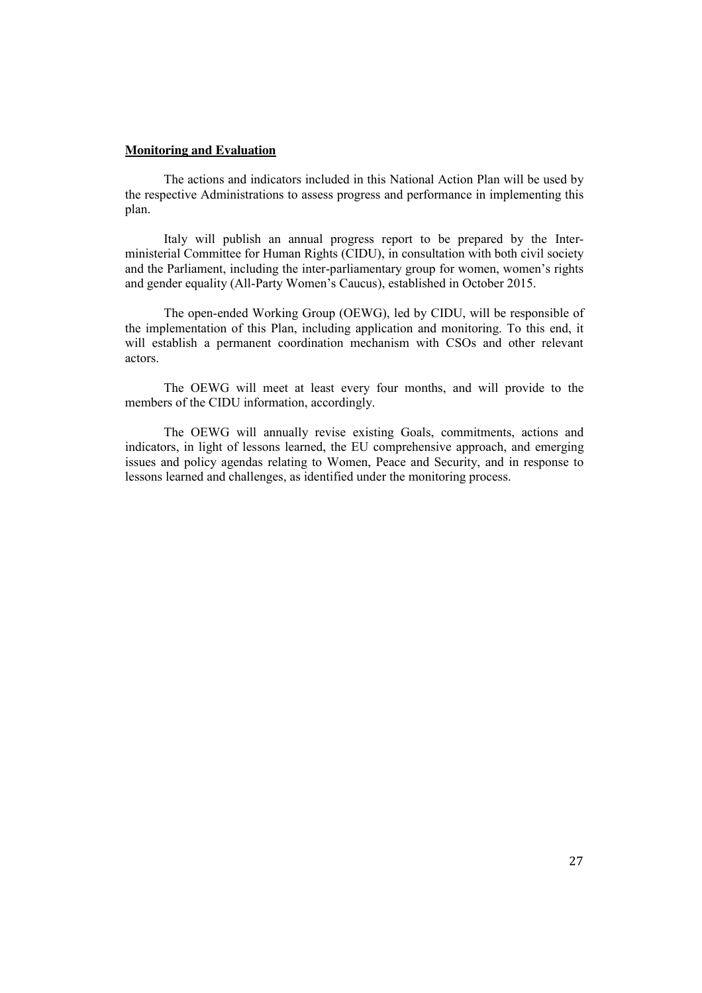## **Monitoring and Evaluation**

The actions and indicators included in this National Action Plan will be used by the respective Administrations to assess progress and performance in implementing this plan.

Italy will publish an annual progress report to be prepared by the Interministerial Committee for Human Rights (CIDU), in consultation with both civil society and the Parliament, including the inter-parliamentary group for women, women's rights and gender equality (All-Party Women's Caucus), established in October 2015.

The open-ended Working Group (OEWG), led by CIDU, will be responsible of the implementation of this Plan, including application and monitoring. To this end, it will establish a permanent coordination mechanism with CSOs and other relevant actors.

The OEWG will meet at least every four months, and will provide to the members of the CIDU information, accordingly.

The OEWG will annually revise existing Goals, commitments, actions and indicators, in light of lessons learned, the EU comprehensive approach, and emerging issues and policy agendas relating to Women, Peace and Security, and in response to lessons learned and challenges, as identified under the monitoring process.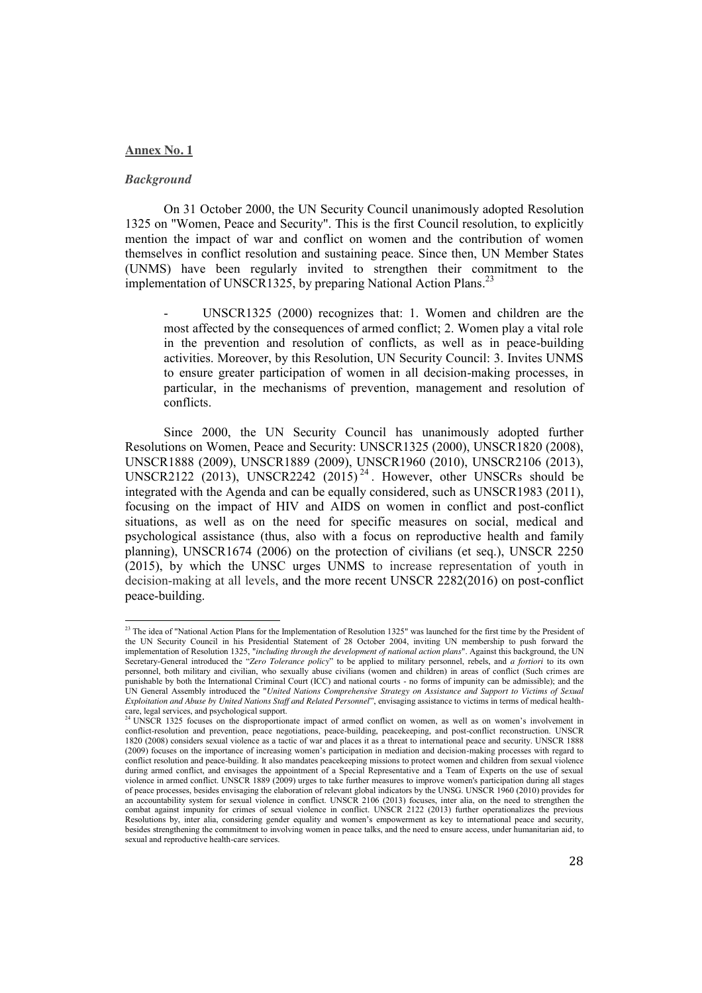### **Annex No. 1**

#### *Background*

<u>.</u>

On 31 October 2000, the UN Security Council unanimously adopted Resolution 1325 on "Women, Peace and Security". This is the first Council resolution, to explicitly mention the impact of war and conflict on women and the contribution of women themselves in conflict resolution and sustaining peace. Since then, UN Member States (UNMS) have been regularly invited to strengthen their commitment to the implementation of UNSCR1325, by preparing National Action Plans.<sup>23</sup>

UNSCR1325 (2000) recognizes that: 1. Women and children are the most affected by the consequences of armed conflict; 2. Women play a vital role in the prevention and resolution of conflicts, as well as in peace-building activities. Moreover, by this Resolution, UN Security Council: 3. Invites UNMS to ensure greater participation of women in all decision-making processes, in particular, in the mechanisms of prevention, management and resolution of conflicts.

Since 2000, the UN Security Council has unanimously adopted further Resolutions on Women, Peace and Security: UNSCR1325 (2000), UNSCR1820 (2008), UNSCR1888 (2009), UNSCR1889 (2009), UNSCR1960 (2010), UNSCR2106 (2013), UNSCR2122 (2013), UNSCR2242 (2015)<sup>24</sup>. However, other UNSCRs should be integrated with the Agenda and can be equally considered, such as UNSCR1983 (2011), focusing on the impact of HIV and AIDS on women in conflict and post-conflict situations, as well as on the need for specific measures on social, medical and psychological assistance (thus, also with a focus on reproductive health and family planning), UNSCR1674 (2006) on the protection of civilians (et seq.), UNSCR 2250 (2015), by which the UNSC urges UNMS to increase representation of youth in decision-making at all levels, and the more recent UNSCR 2282(2016) on post-conflict peace-building.

 $^{23}$  The idea of "National Action Plans for the Implementation of Resolution 1325" was launched for the first time by the President of the UN Security Council in his Presidential Statement of 28 October 2004, inviting UN membership to push forward the implementation of Resolution 1325, "*including through the development of national action plans*". Against this background, the UN Secretary-General introduced the "*Zero Tolerance policy*" to be applied to military personnel, rebels, and *a fortiori* to its own personnel, both military and civilian, who sexually abuse civilians (women and children) in areas of conflict (Such crimes are punishable by both the International Criminal Court (ICC) and national courts - no forms of impunity can be admissible); and the UN General Assembly introduced the "*United Nations Comprehensive Strategy on Assistance and Support to Victims of Sexual Exploitation and Abuse by United Nations Staff and Related Personnel*", envisaging assistance to victims in terms of medical health-

care, legal services, and psychological support.<br><sup>24</sup> UNSCR 1325 focuses on the disproportionate impact of armed conflict on women, as well as on women's involvement in conflict-resolution and prevention, peace negotiations, peace-building, peacekeeping, and post-conflict reconstruction. UNSCR 1820 (2008) considers sexual violence as a tactic of war and places it as a threat to international peace and security. UNSCR 1888 (2009) focuses on the importance of increasing women's participation in mediation and decision-making processes with regard to conflict resolution and peace-building. It also mandates peacekeeping missions to protect women and children from sexual violence during armed conflict, and envisages the appointment of a Special Representative and a Team of Experts on the use of sexual violence in armed conflict. UNSCR 1889 (2009) urges to take further measures to improve women's participation during all stages of peace processes, besides envisaging the elaboration of relevant global indicators by the UNSG. UNSCR 1960 (2010) provides for an accountability system for sexual violence in conflict. UNSCR 2106 (2013) focuses, inter alia, on the need to strengthen the combat against impunity for crimes of sexual violence in conflict. UNSCR 2122 (2013) further operationalizes the previous Resolutions by, inter alia, considering gender equality and women's empowerment as key to international peace and security, besides strengthening the commitment to involving women in peace talks, and the need to ensure access, under humanitarian aid, to sexual and reproductive health-care services.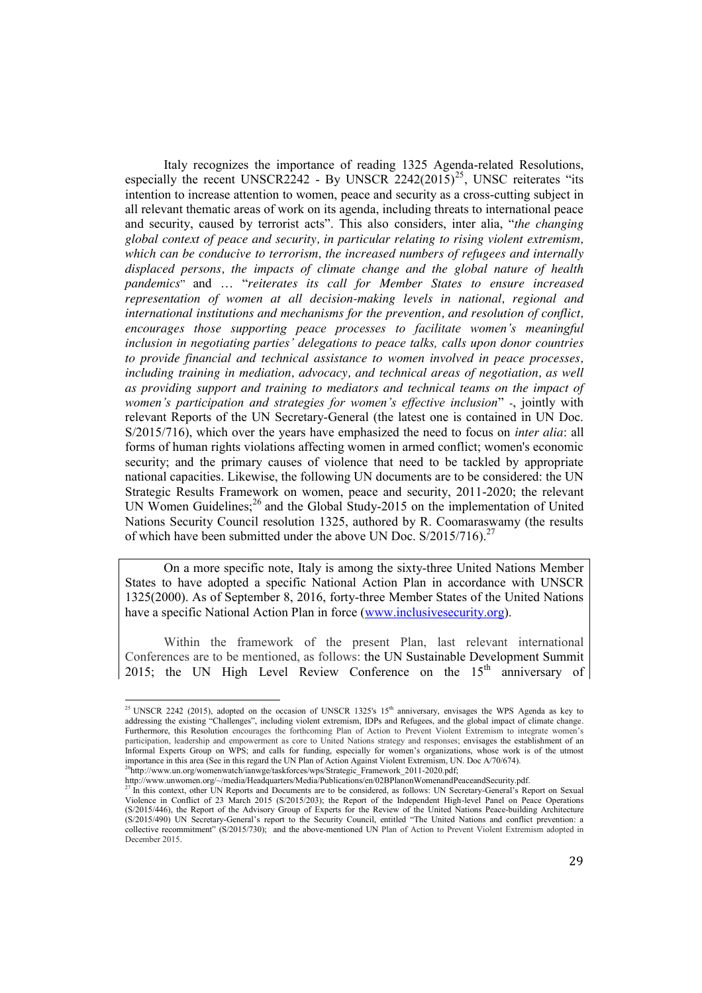Italy recognizes the importance of reading 1325 Agenda-related Resolutions, especially the recent UNSCR2242 - By UNSCR  $2242(2015)^{25}$ , UNSC reiterates "its intention to increase attention to women, peace and security as a cross-cutting subject in all relevant thematic areas of work on its agenda, including threats to international peace and security, caused by terrorist acts". This also considers, inter alia, "*the changing global context of peace and security, in particular relating to rising violent extremism, which can be conducive to terrorism, the increased numbers of refugees and internally displaced persons, the impacts of climate change and the global nature of health pandemics*" and … "*reiterates its call for Member States to ensure increased representation of women at all decision-making levels in national, regional and international institutions and mechanisms for the prevention, and resolution of conflict, encourages those supporting peace processes to facilitate women's meaningful inclusion in negotiating parties' delegations to peace talks, calls upon donor countries to provide financial and technical assistance to women involved in peace processes, including training in mediation, advocacy, and technical areas of negotiation, as well as providing support and training to mediators and technical teams on the impact of women's participation and strategies for women's effective inclusion*" -, jointly with relevant Reports of the UN Secretary-General (the latest one is contained in UN Doc. S/2015/716), which over the years have emphasized the need to focus on *inter alia*: all forms of human rights violations affecting women in armed conflict; women's economic security; and the primary causes of violence that need to be tackled by appropriate national capacities. Likewise, the following UN documents are to be considered: the UN Strategic Results Framework on women, peace and security, 2011-2020; the relevant UN Women Guidelines;<sup>26</sup> and the Global Study-2015 on the implementation of United Nations Security Council resolution 1325, authored by R. Coomaraswamy (the results of which have been submitted under the above UN Doc. S/2015/716).<sup>27</sup>

On a more specific note, Italy is among the sixty-three United Nations Member States to have adopted a specific National Action Plan in accordance with UNSCR 1325(2000). As of September 8, 2016, forty-three Member States of the United Nations have a specific National Action Plan in force (www.inclusivesecurity.org).

Within the framework of the present Plan, last relevant international Conferences are to be mentioned, as follows: the UN Sustainable Development Summit 2015; the UN High Level Review Conference on the  $15<sup>th</sup>$  anniversary of

-

<sup>&</sup>lt;sup>25</sup> UNSCR 2242 (2015), adopted on the occasion of UNSCR 1325's 15<sup>th</sup> anniversary, envisages the WPS Agenda as key to addressing the existing "Challenges", including violent extremism, IDPs and Refugees, and the global impact of climate change. Furthermore, this Resolution encourages the forthcoming Plan of Action to Prevent Violent Extremism to integrate women's participation, leadership and empowerment as core to United Nations strategy and responses; envisages the establishment of an Informal Experts Group on WPS; and calls for funding, especially for women's organizations, whose work is of the utmost importance in this area (See in this regard the UN Plan of Action Against Violent Extremism, UN. Doc A/70/674). <sup>26</sup>http://www.un.org/womenwatch/ianwge/taskforces/wps/Strategic\_Framework\_2011-2020.pdf;

http://www.unwomen.org/~/media/Headquarters/Media/Publications/en/02BPlanonWomenandPeaceandSecurity.pdf.<br><sup>27</sup> In this context, other UN Reports and Documents are to be considered, as follows: UN Secretary-General's Report Violence in Conflict of 23 March 2015 (S/2015/203); the Report of the Independent High-level Panel on Peace Operations (S/2015/446), the Report of the Advisory Group of Experts for the Review of the United Nations Peace-building Architecture (S/2015/490) UN Secretary-General's report to the Security Council, entitled "The United Nations and conflict prevention: a collective recommitment" (S/2015/730); and the above-mentioned UN Plan of Action to Prevent Violent Extremism adopted in December 2015.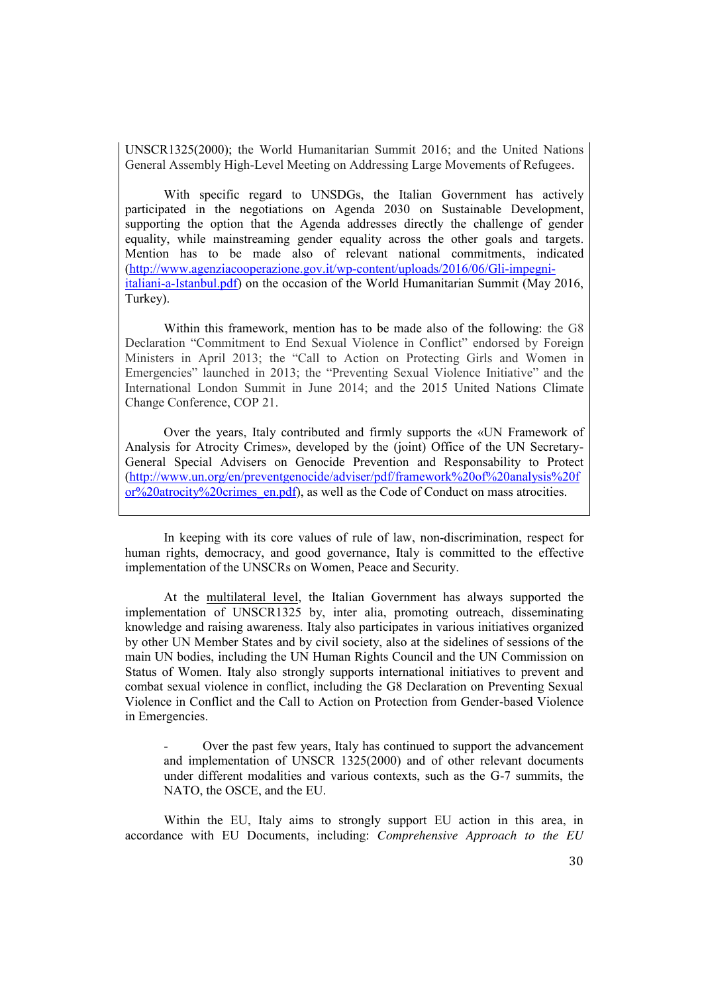UNSCR1325(2000); the World Humanitarian Summit 2016; and the United Nations General Assembly High-Level Meeting on Addressing Large Movements of Refugees.

With specific regard to UNSDGs, the Italian Government has actively participated in the negotiations on Agenda 2030 on Sustainable Development, supporting the option that the Agenda addresses directly the challenge of gender equality, while mainstreaming gender equality across the other goals and targets. Mention has to be made also of relevant national commitments, indicated (http://www.agenziacooperazione.gov.it/wp-content/uploads/2016/06/Gli-impegniitaliani-a-Istanbul.pdf) on the occasion of the World Humanitarian Summit (May 2016, Turkey).

Within this framework, mention has to be made also of the following: the G8 Declaration "Commitment to End Sexual Violence in Conflict" endorsed by Foreign Ministers in April 2013; the "Call to Action on Protecting Girls and Women in Emergencies" launched in 2013; the "Preventing Sexual Violence Initiative" and the International London Summit in June 2014; and the 2015 United Nations Climate Change Conference, COP 21.

Over the years, Italy contributed and firmly supports the «UN Framework of Analysis for Atrocity Crimes», developed by the (joint) Office of the UN Secretary-General Special Advisers on Genocide Prevention and Responsability to Protect (http://www.un.org/en/preventgenocide/adviser/pdf/framework%20of%20analysis%20f or%20atrocity%20crimes\_en.pdf), as well as the Code of Conduct on mass atrocities.

In keeping with its core values of rule of law, non-discrimination, respect for human rights, democracy, and good governance, Italy is committed to the effective implementation of the UNSCRs on Women, Peace and Security.

At the multilateral level, the Italian Government has always supported the implementation of UNSCR1325 by, inter alia, promoting outreach, disseminating knowledge and raising awareness. Italy also participates in various initiatives organized by other UN Member States and by civil society, also at the sidelines of sessions of the main UN bodies, including the UN Human Rights Council and the UN Commission on Status of Women. Italy also strongly supports international initiatives to prevent and combat sexual violence in conflict, including the G8 Declaration on Preventing Sexual Violence in Conflict and the Call to Action on Protection from Gender-based Violence in Emergencies.

Over the past few years, Italy has continued to support the advancement and implementation of UNSCR 1325(2000) and of other relevant documents under different modalities and various contexts, such as the G-7 summits, the NATO, the OSCE, and the EU.

Within the EU, Italy aims to strongly support EU action in this area, in accordance with EU Documents, including: *Comprehensive Approach to the EU*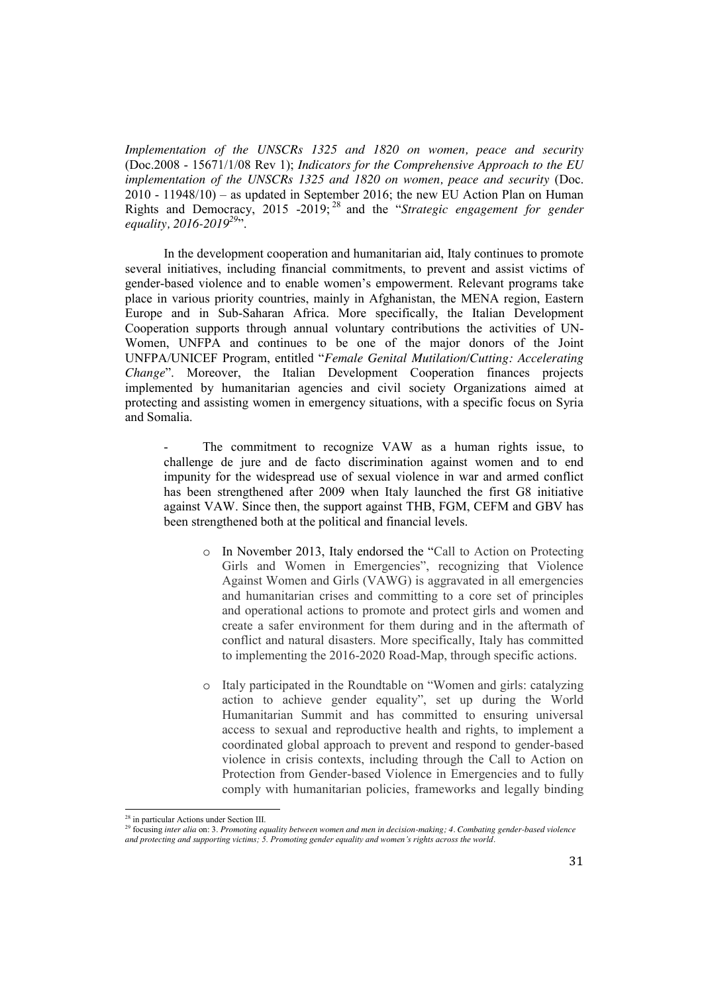*Implementation of the UNSCRs 1325 and 1820 on women, peace and security* (Doc.2008 - 15671/1/08 Rev 1); *Indicators for the Comprehensive Approach to the EU implementation of the UNSCRs 1325 and 1820 on women, peace and security* (Doc. 2010 - 11948/10) – as updated in September 2016; the new EU Action Plan on Human Rights and Democracy, 2015 -2019; <sup>28</sup> and the "*Strategic engagement for gender equality, 2016-2019*<sup>29</sup>".

In the development cooperation and humanitarian aid, Italy continues to promote several initiatives, including financial commitments, to prevent and assist victims of gender-based violence and to enable women's empowerment. Relevant programs take place in various priority countries, mainly in Afghanistan, the MENA region, Eastern Europe and in Sub-Saharan Africa. More specifically, the Italian Development Cooperation supports through annual voluntary contributions the activities of UN-Women, UNFPA and continues to be one of the major donors of the Joint UNFPA/UNICEF Program, entitled "*Female Genital Mutilation/Cutting: Accelerating Change*". Moreover, the Italian Development Cooperation finances projects implemented by humanitarian agencies and civil society Organizations aimed at protecting and assisting women in emergency situations, with a specific focus on Syria and Somalia.

The commitment to recognize VAW as a human rights issue, to challenge de jure and de facto discrimination against women and to end impunity for the widespread use of sexual violence in war and armed conflict has been strengthened after 2009 when Italy launched the first G8 initiative against VAW. Since then, the support against THB, FGM, CEFM and GBV has been strengthened both at the political and financial levels.

- o In November 2013, Italy endorsed the "Call to Action on Protecting Girls and Women in Emergencies", recognizing that Violence Against Women and Girls (VAWG) is aggravated in all emergencies and humanitarian crises and committing to a core set of principles and operational actions to promote and protect girls and women and create a safer environment for them during and in the aftermath of conflict and natural disasters. More specifically, Italy has committed to implementing the 2016-2020 Road-Map, through specific actions.
- o Italy participated in the Roundtable on "Women and girls: catalyzing action to achieve gender equality", set up during the World Humanitarian Summit and has committed to ensuring universal access to sexual and reproductive health and rights, to implement a coordinated global approach to prevent and respond to gender-based violence in crisis contexts, including through the Call to Action on Protection from Gender-based Violence in Emergencies and to fully comply with humanitarian policies, frameworks and legally binding

.<br>-

<sup>28</sup> in particular Actions under Section III.

<sup>29</sup> focusing *inter alia* on: 3. *Promoting equality between women and men in decision-making; 4. Combating gender-based violence and protecting and supporting victims; 5. Promoting gender equality and women's rights across the world*.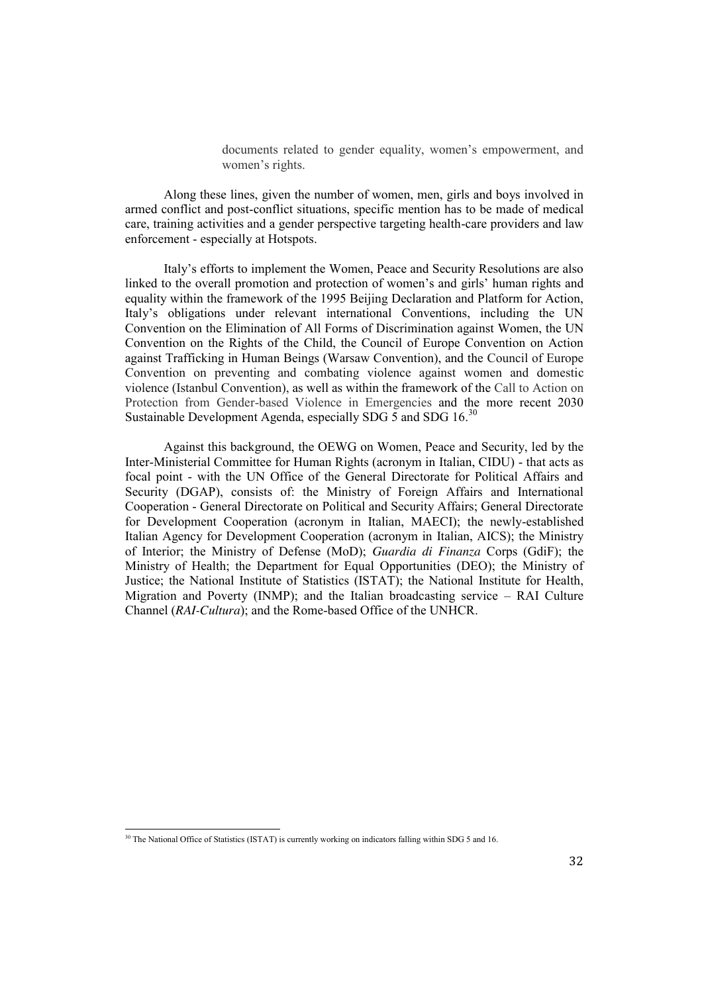documents related to gender equality, women's empowerment, and women's rights.

Along these lines, given the number of women, men, girls and boys involved in armed conflict and post-conflict situations, specific mention has to be made of medical care, training activities and a gender perspective targeting health-care providers and law enforcement - especially at Hotspots.

Italy's efforts to implement the Women, Peace and Security Resolutions are also linked to the overall promotion and protection of women's and girls' human rights and equality within the framework of the 1995 Beijing Declaration and Platform for Action, Italy's obligations under relevant international Conventions, including the UN Convention on the Elimination of All Forms of Discrimination against Women, the UN Convention on the Rights of the Child, the Council of Europe Convention on Action against Trafficking in Human Beings (Warsaw Convention), and the Council of Europe Convention on preventing and combating violence against women and domestic violence (Istanbul Convention), as well as within the framework of the Call to Action on Protection from Gender-based Violence in Emergencies and the more recent 2030 Sustainable Development Agenda, especially SDG  $\overline{5}$  and SDG 16.<sup>30</sup>

Against this background, the OEWG on Women, Peace and Security, led by the Inter-Ministerial Committee for Human Rights (acronym in Italian, CIDU) - that acts as focal point - with the UN Office of the General Directorate for Political Affairs and Security (DGAP), consists of: the Ministry of Foreign Affairs and International Cooperation - General Directorate on Political and Security Affairs; General Directorate for Development Cooperation (acronym in Italian, MAECI); the newly-established Italian Agency for Development Cooperation (acronym in Italian, AICS); the Ministry of Interior; the Ministry of Defense (MoD); *Guardia di Finanza* Corps (GdiF); the Ministry of Health; the Department for Equal Opportunities (DEO); the Ministry of Justice; the National Institute of Statistics (ISTAT); the National Institute for Health, Migration and Poverty (INMP); and the Italian broadcasting service – RAI Culture Channel (*RAI-Cultura*); and the Rome-based Office of the UNHCR.

<u>.</u>

 $30$  The National Office of Statistics (ISTAT) is currently working on indicators falling within SDG 5 and 16.